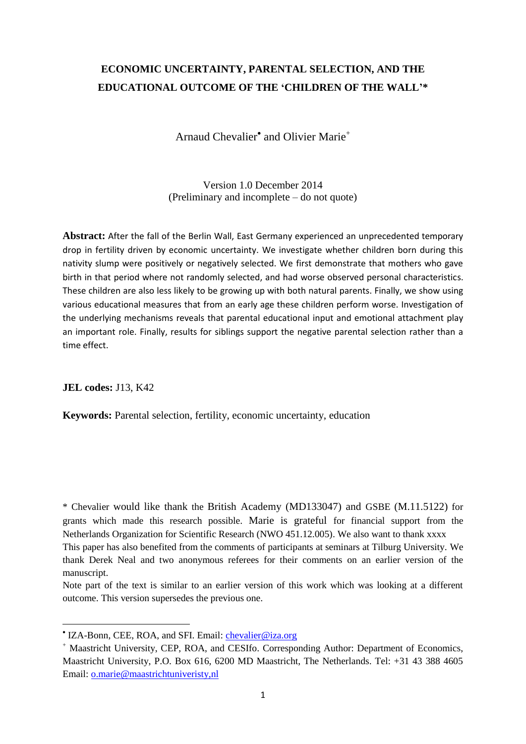# **ECONOMIC UNCERTAINTY, PARENTAL SELECTION, AND THE EDUCATIONAL OUTCOME OF THE 'CHILDREN OF THE WALL'\***

Arnaud Chevalier<sup>•</sup> and Olivier Marie<sup>+</sup>

Version 1.0 December 2014 (Preliminary and incomplete – do not quote)

**Abstract:** After the fall of the Berlin Wall, East Germany experienced an unprecedented temporary drop in fertility driven by economic uncertainty. We investigate whether children born during this nativity slump were positively or negatively selected. We first demonstrate that mothers who gave birth in that period where not randomly selected, and had worse observed personal characteristics. These children are also less likely to be growing up with both natural parents. Finally, we show using various educational measures that from an early age these children perform worse. Investigation of the underlying mechanisms reveals that parental educational input and emotional attachment play an important role. Finally, results for siblings support the negative parental selection rather than a time effect.

**JEL codes:** J13, K42

l

**Keywords:** Parental selection, fertility, economic uncertainty, education

\* Chevalier would like thank the British Academy (MD133047) and GSBE (M.11.5122) for grants which made this research possible. Marie is grateful for financial support from the Netherlands Organization for Scientific Research (NWO 451.12.005). We also want to thank xxxx This paper has also benefited from the comments of participants at seminars at Tilburg University. We thank Derek Neal and two anonymous referees for their comments on an earlier version of the manuscript.

Note part of the text is similar to an earlier version of this work which was looking at a different outcome. This version supersedes the previous one.

<sup>&</sup>lt;sup>•</sup> IZA-Bonn, CEE, ROA, and SFI. Email: *chevalier@iza.org* 

<sup>+</sup> Maastricht University, CEP, ROA, and CESIfo. Corresponding Author: Department of Economics, Maastricht University, P.O. Box 616, 6200 MD Maastricht, The Netherlands. Tel: +31 43 388 4605 Email: [o.marie@maastrichtuniveristy,nl](mailto:o.marie@maastrichtuniveristy,nl)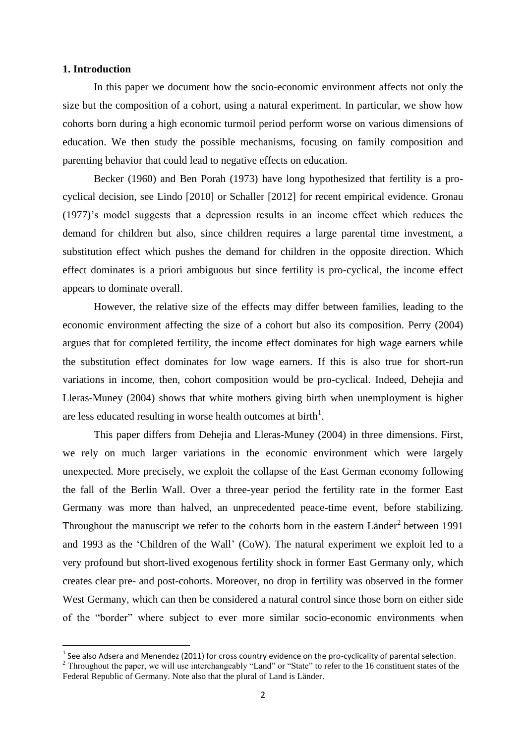### **1. Introduction**

l

In this paper we document how the socio-economic environment affects not only the size but the composition of a cohort, using a natural experiment. In particular, we show how cohorts born during a high economic turmoil period perform worse on various dimensions of education. We then study the possible mechanisms, focusing on family composition and parenting behavior that could lead to negative effects on education.

Becker (1960) and Ben Porah (1973) have long hypothesized that fertility is a procyclical decision, see Lindo [2010] or Schaller [2012] for recent empirical evidence. Gronau (1977)'s model suggests that a depression results in an income effect which reduces the demand for children but also, since children requires a large parental time investment, a substitution effect which pushes the demand for children in the opposite direction. Which effect dominates is a priori ambiguous but since fertility is pro-cyclical, the income effect appears to dominate overall.

However, the relative size of the effects may differ between families, leading to the economic environment affecting the size of a cohort but also its composition. Perry (2004) argues that for completed fertility, the income effect dominates for high wage earners while the substitution effect dominates for low wage earners. If this is also true for short-run variations in income, then, cohort composition would be pro-cyclical. Indeed, Dehejia and Lleras-Muney (2004) shows that white mothers giving birth when unemployment is higher are less educated resulting in worse health outcomes at birth<sup>1</sup>.

This paper differs from Dehejia and Lleras-Muney (2004) in three dimensions. First, we rely on much larger variations in the economic environment which were largely unexpected. More precisely, we exploit the collapse of the East German economy following the fall of the Berlin Wall. Over a three-year period the fertility rate in the former East Germany was more than halved, an unprecedented peace-time event, before stabilizing. Throughout the manuscript we refer to the cohorts born in the eastern Länder<sup>2</sup> between 1991 and 1993 as the 'Children of the Wall' (CoW). The natural experiment we exploit led to a very profound but short-lived exogenous fertility shock in former East Germany only, which creates clear pre- and post-cohorts. Moreover, no drop in fertility was observed in the former West Germany, which can then be considered a natural control since those born on either side of the "border" where subject to ever more similar socio-economic environments when

 $^1$  See also Adsera and Menendez (2011) for cross country evidence on the pro-cyclicality of parental selection.

<sup>&</sup>lt;sup>2</sup> Throughout the paper, we will use interchangeably "Land" or "State" to refer to the 16 constituent states of the Federal Republic of Germany. Note also that the plural of Land is Länder.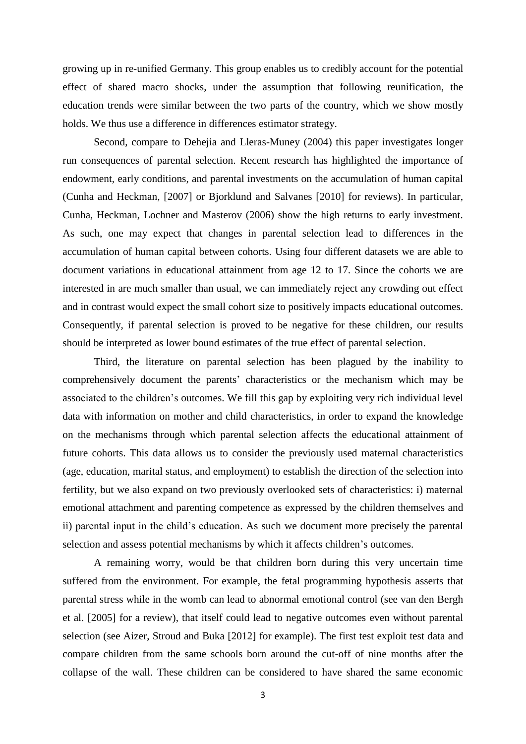growing up in re-unified Germany. This group enables us to credibly account for the potential effect of shared macro shocks, under the assumption that following reunification, the education trends were similar between the two parts of the country, which we show mostly holds. We thus use a difference in differences estimator strategy.

Second, compare to Dehejia and Lleras-Muney (2004) this paper investigates longer run consequences of parental selection. Recent research has highlighted the importance of endowment, early conditions, and parental investments on the accumulation of human capital (Cunha and Heckman, [2007] or Bjorklund and Salvanes [2010] for reviews). In particular, Cunha, Heckman, Lochner and Masterov (2006) show the high returns to early investment. As such, one may expect that changes in parental selection lead to differences in the accumulation of human capital between cohorts. Using four different datasets we are able to document variations in educational attainment from age 12 to 17. Since the cohorts we are interested in are much smaller than usual, we can immediately reject any crowding out effect and in contrast would expect the small cohort size to positively impacts educational outcomes. Consequently, if parental selection is proved to be negative for these children, our results should be interpreted as lower bound estimates of the true effect of parental selection.

Third, the literature on parental selection has been plagued by the inability to comprehensively document the parents' characteristics or the mechanism which may be associated to the children's outcomes. We fill this gap by exploiting very rich individual level data with information on mother and child characteristics, in order to expand the knowledge on the mechanisms through which parental selection affects the educational attainment of future cohorts. This data allows us to consider the previously used maternal characteristics (age, education, marital status, and employment) to establish the direction of the selection into fertility, but we also expand on two previously overlooked sets of characteristics: i) maternal emotional attachment and parenting competence as expressed by the children themselves and ii) parental input in the child's education. As such we document more precisely the parental selection and assess potential mechanisms by which it affects children's outcomes.

A remaining worry, would be that children born during this very uncertain time suffered from the environment. For example, the fetal programming hypothesis asserts that parental stress while in the womb can lead to abnormal emotional control (see van den Bergh et al. [2005] for a review), that itself could lead to negative outcomes even without parental selection (see Aizer, Stroud and Buka [2012] for example). The first test exploit test data and compare children from the same schools born around the cut-off of nine months after the collapse of the wall. These children can be considered to have shared the same economic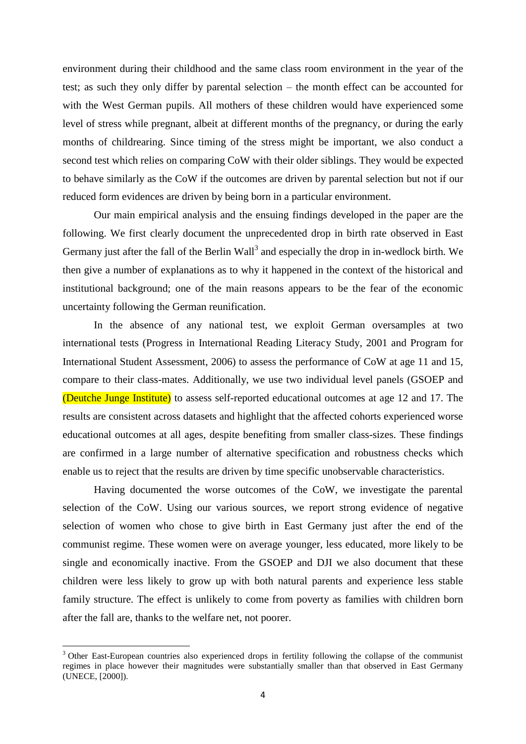environment during their childhood and the same class room environment in the year of the test; as such they only differ by parental selection – the month effect can be accounted for with the West German pupils. All mothers of these children would have experienced some level of stress while pregnant, albeit at different months of the pregnancy, or during the early months of childrearing. Since timing of the stress might be important, we also conduct a second test which relies on comparing CoW with their older siblings. They would be expected to behave similarly as the CoW if the outcomes are driven by parental selection but not if our reduced form evidences are driven by being born in a particular environment.

Our main empirical analysis and the ensuing findings developed in the paper are the following. We first clearly document the unprecedented drop in birth rate observed in East Germany just after the fall of the Berlin Wall<sup>3</sup> and especially the drop in in-wedlock birth. We then give a number of explanations as to why it happened in the context of the historical and institutional background; one of the main reasons appears to be the fear of the economic uncertainty following the German reunification.

In the absence of any national test, we exploit German oversamples at two international tests (Progress in International Reading Literacy Study, 2001 and Program for International Student Assessment, 2006) to assess the performance of CoW at age 11 and 15, compare to their class-mates. Additionally, we use two individual level panels (GSOEP and (Deutche Junge Institute) to assess self-reported educational outcomes at age 12 and 17. The results are consistent across datasets and highlight that the affected cohorts experienced worse educational outcomes at all ages, despite benefiting from smaller class-sizes. These findings are confirmed in a large number of alternative specification and robustness checks which enable us to reject that the results are driven by time specific unobservable characteristics.

Having documented the worse outcomes of the CoW, we investigate the parental selection of the CoW. Using our various sources, we report strong evidence of negative selection of women who chose to give birth in East Germany just after the end of the communist regime. These women were on average younger, less educated, more likely to be single and economically inactive. From the GSOEP and DJI we also document that these children were less likely to grow up with both natural parents and experience less stable family structure. The effect is unlikely to come from poverty as families with children born after the fall are, thanks to the welfare net, not poorer.

 $\overline{a}$ 

<sup>&</sup>lt;sup>3</sup> Other East-European countries also experienced drops in fertility following the collapse of the communist regimes in place however their magnitudes were substantially smaller than that observed in East Germany (UNECE, [2000]).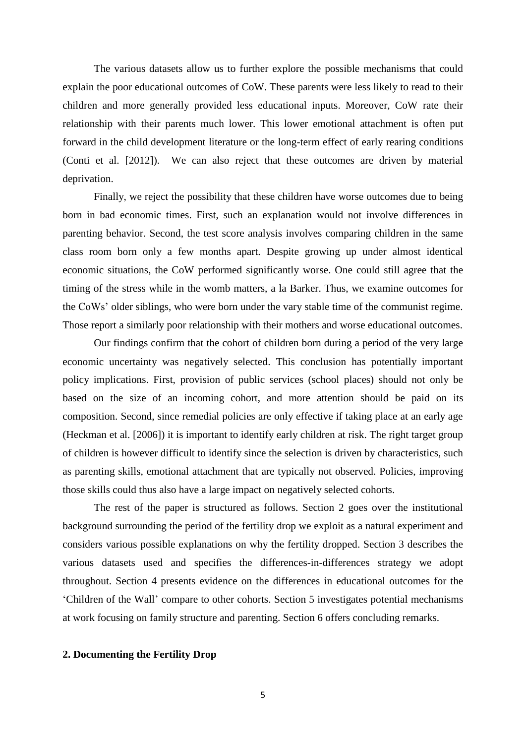The various datasets allow us to further explore the possible mechanisms that could explain the poor educational outcomes of CoW. These parents were less likely to read to their children and more generally provided less educational inputs. Moreover, CoW rate their relationship with their parents much lower. This lower emotional attachment is often put forward in the child development literature or the long-term effect of early rearing conditions (Conti et al. [2012]). We can also reject that these outcomes are driven by material deprivation.

Finally, we reject the possibility that these children have worse outcomes due to being born in bad economic times. First, such an explanation would not involve differences in parenting behavior. Second, the test score analysis involves comparing children in the same class room born only a few months apart. Despite growing up under almost identical economic situations, the CoW performed significantly worse. One could still agree that the timing of the stress while in the womb matters, a la Barker. Thus, we examine outcomes for the CoWs' older siblings, who were born under the vary stable time of the communist regime. Those report a similarly poor relationship with their mothers and worse educational outcomes.

Our findings confirm that the cohort of children born during a period of the very large economic uncertainty was negatively selected. This conclusion has potentially important policy implications. First, provision of public services (school places) should not only be based on the size of an incoming cohort, and more attention should be paid on its composition. Second, since remedial policies are only effective if taking place at an early age (Heckman et al. [2006]) it is important to identify early children at risk. The right target group of children is however difficult to identify since the selection is driven by characteristics, such as parenting skills, emotional attachment that are typically not observed. Policies, improving those skills could thus also have a large impact on negatively selected cohorts.

The rest of the paper is structured as follows. Section 2 goes over the institutional background surrounding the period of the fertility drop we exploit as a natural experiment and considers various possible explanations on why the fertility dropped. Section 3 describes the various datasets used and specifies the differences-in-differences strategy we adopt throughout. Section 4 presents evidence on the differences in educational outcomes for the 'Children of the Wall' compare to other cohorts. Section 5 investigates potential mechanisms at work focusing on family structure and parenting. Section 6 offers concluding remarks.

## **2. Documenting the Fertility Drop**

5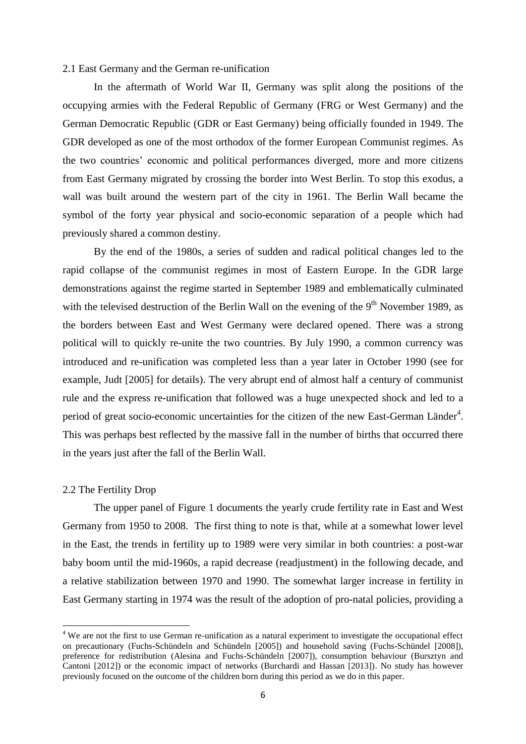## 2.1 East Germany and the German re-unification

In the aftermath of World War II, Germany was split along the positions of the occupying armies with the Federal Republic of Germany (FRG or West Germany) and the German Democratic Republic (GDR or East Germany) being officially founded in 1949. The GDR developed as one of the most orthodox of the former European Communist regimes. As the two countries' economic and political performances diverged, more and more citizens from East Germany migrated by crossing the border into West Berlin. To stop this exodus, a wall was built around the western part of the city in 1961. The Berlin Wall became the symbol of the forty year physical and socio-economic separation of a people which had previously shared a common destiny.

By the end of the 1980s, a series of sudden and radical political changes led to the rapid collapse of the communist regimes in most of Eastern Europe. In the GDR large demonstrations against the regime started in September 1989 and emblematically culminated with the televised destruction of the Berlin Wall on the evening of the  $9<sup>th</sup>$  November 1989, as the borders between East and West Germany were declared opened. There was a strong political will to quickly re-unite the two countries. By July 1990, a common currency was introduced and re-unification was completed less than a year later in October 1990 (see for example, Judt [2005] for details). The very abrupt end of almost half a century of communist rule and the express re-unification that followed was a huge unexpected shock and led to a period of great socio-economic uncertainties for the citizen of the new East-German Länder<sup>4</sup>. This was perhaps best reflected by the massive fall in the number of births that occurred there in the years just after the fall of the Berlin Wall.

## 2.2 The Fertility Drop

 $\overline{\phantom{a}}$ 

The upper panel of Figure 1 documents the yearly crude fertility rate in East and West Germany from 1950 to 2008. The first thing to note is that, while at a somewhat lower level in the East, the trends in fertility up to 1989 were very similar in both countries: a post-war baby boom until the mid-1960s, a rapid decrease (readjustment) in the following decade, and a relative stabilization between 1970 and 1990. The somewhat larger increase in fertility in East Germany starting in 1974 was the result of the adoption of pro-natal policies, providing a

<sup>&</sup>lt;sup>4</sup> We are not the first to use German re-unification as a natural experiment to investigate the occupational effect on precautionary (Fuchs-Schündeln and Schündeln [2005]) and household saving (Fuchs-Schündel [2008]), preference for redistribution (Alesina and Fuchs-Schündeln [2007]), consumption behaviour (Bursztyn and Cantoni [2012]) or the economic impact of networks (Burchardi and Hassan [2013]). No study has however previously focused on the outcome of the children born during this period as we do in this paper.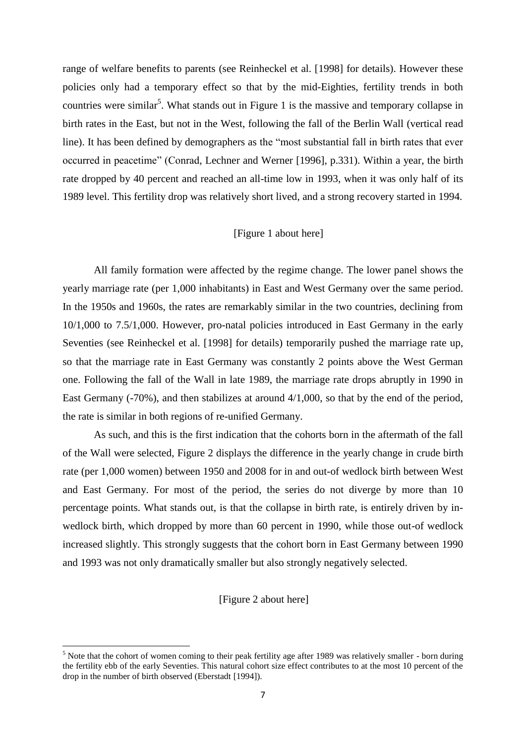range of welfare benefits to parents (see Reinheckel et al. [1998] for details). However these policies only had a temporary effect so that by the mid-Eighties, fertility trends in both countries were similar<sup>5</sup>. What stands out in Figure 1 is the massive and temporary collapse in birth rates in the East, but not in the West, following the fall of the Berlin Wall (vertical read line). It has been defined by demographers as the "most substantial fall in birth rates that ever occurred in peacetime" (Conrad, Lechner and Werner [1996], p.331). Within a year, the birth rate dropped by 40 percent and reached an all-time low in 1993, when it was only half of its 1989 level. This fertility drop was relatively short lived, and a strong recovery started in 1994.

## [Figure 1 about here]

All family formation were affected by the regime change. The lower panel shows the yearly marriage rate (per 1,000 inhabitants) in East and West Germany over the same period. In the 1950s and 1960s, the rates are remarkably similar in the two countries, declining from 10/1,000 to 7.5/1,000. However, pro-natal policies introduced in East Germany in the early Seventies (see Reinheckel et al. [1998] for details) temporarily pushed the marriage rate up, so that the marriage rate in East Germany was constantly 2 points above the West German one. Following the fall of the Wall in late 1989, the marriage rate drops abruptly in 1990 in East Germany (-70%), and then stabilizes at around 4/1,000, so that by the end of the period, the rate is similar in both regions of re-unified Germany.

As such, and this is the first indication that the cohorts born in the aftermath of the fall of the Wall were selected, Figure 2 displays the difference in the yearly change in crude birth rate (per 1,000 women) between 1950 and 2008 for in and out-of wedlock birth between West and East Germany. For most of the period, the series do not diverge by more than 10 percentage points. What stands out, is that the collapse in birth rate, is entirely driven by inwedlock birth, which dropped by more than 60 percent in 1990, while those out-of wedlock increased slightly. This strongly suggests that the cohort born in East Germany between 1990 and 1993 was not only dramatically smaller but also strongly negatively selected.

[Figure 2 about here]

 $\overline{a}$ 

<sup>&</sup>lt;sup>5</sup> Note that the cohort of women coming to their peak fertility age after 1989 was relatively smaller - born during the fertility ebb of the early Seventies. This natural cohort size effect contributes to at the most 10 percent of the drop in the number of birth observed (Eberstadt [1994]).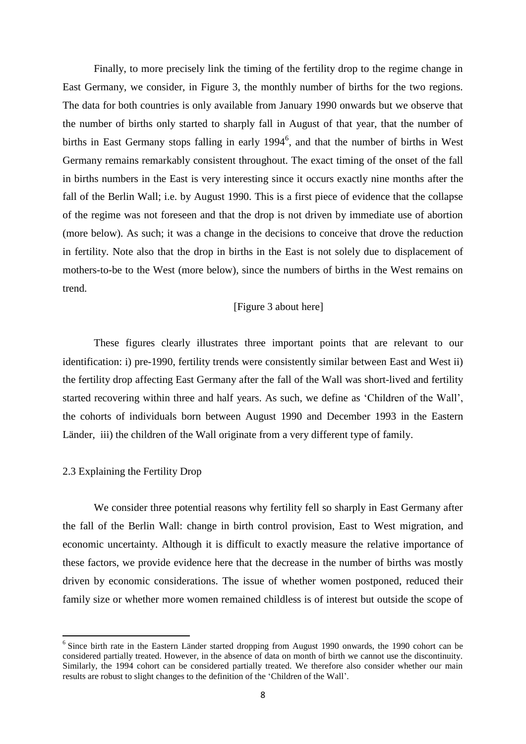Finally, to more precisely link the timing of the fertility drop to the regime change in East Germany, we consider, in Figure 3, the monthly number of births for the two regions. The data for both countries is only available from January 1990 onwards but we observe that the number of births only started to sharply fall in August of that year, that the number of births in East Germany stops falling in early 1994<sup>6</sup>, and that the number of births in West Germany remains remarkably consistent throughout. The exact timing of the onset of the fall in births numbers in the East is very interesting since it occurs exactly nine months after the fall of the Berlin Wall; i.e. by August 1990. This is a first piece of evidence that the collapse of the regime was not foreseen and that the drop is not driven by immediate use of abortion (more below). As such; it was a change in the decisions to conceive that drove the reduction in fertility. Note also that the drop in births in the East is not solely due to displacement of mothers-to-be to the West (more below), since the numbers of births in the West remains on trend.

## [Figure 3 about here]

These figures clearly illustrates three important points that are relevant to our identification: i) pre-1990, fertility trends were consistently similar between East and West ii) the fertility drop affecting East Germany after the fall of the Wall was short-lived and fertility started recovering within three and half years. As such, we define as 'Children of the Wall', the cohorts of individuals born between August 1990 and December 1993 in the Eastern Länder, iii) the children of the Wall originate from a very different type of family.

## 2.3 Explaining the Fertility Drop

 $\overline{\phantom{a}}$ 

We consider three potential reasons why fertility fell so sharply in East Germany after the fall of the Berlin Wall: change in birth control provision, East to West migration, and economic uncertainty. Although it is difficult to exactly measure the relative importance of these factors, we provide evidence here that the decrease in the number of births was mostly driven by economic considerations. The issue of whether women postponed, reduced their family size or whether more women remained childless is of interest but outside the scope of

<sup>&</sup>lt;sup>6</sup> Since birth rate in the Eastern Länder started dropping from August 1990 onwards, the 1990 cohort can be considered partially treated. However, in the absence of data on month of birth we cannot use the discontinuity. Similarly, the 1994 cohort can be considered partially treated. We therefore also consider whether our main results are robust to slight changes to the definition of the 'Children of the Wall'.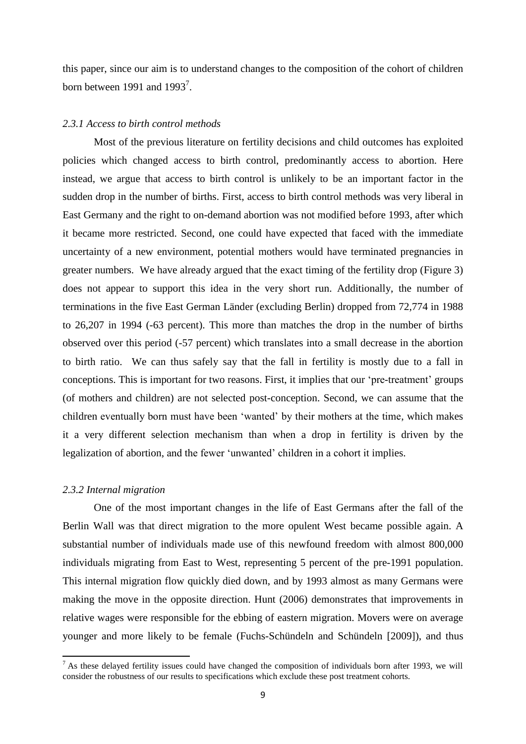this paper, since our aim is to understand changes to the composition of the cohort of children born between 1991 and 1993<sup>7</sup>.

### *2.3.1 Access to birth control methods*

Most of the previous literature on fertility decisions and child outcomes has exploited policies which changed access to birth control, predominantly access to abortion. Here instead, we argue that access to birth control is unlikely to be an important factor in the sudden drop in the number of births. First, access to birth control methods was very liberal in East Germany and the right to on-demand abortion was not modified before 1993, after which it became more restricted. Second, one could have expected that faced with the immediate uncertainty of a new environment, potential mothers would have terminated pregnancies in greater numbers. We have already argued that the exact timing of the fertility drop (Figure 3) does not appear to support this idea in the very short run. Additionally, the number of terminations in the five East German Länder (excluding Berlin) dropped from 72,774 in 1988 to 26,207 in 1994 (-63 percent). This more than matches the drop in the number of births observed over this period (-57 percent) which translates into a small decrease in the abortion to birth ratio. We can thus safely say that the fall in fertility is mostly due to a fall in conceptions. This is important for two reasons. First, it implies that our 'pre-treatment' groups (of mothers and children) are not selected post-conception. Second, we can assume that the children eventually born must have been 'wanted' by their mothers at the time, which makes it a very different selection mechanism than when a drop in fertility is driven by the legalization of abortion, and the fewer 'unwanted' children in a cohort it implies.

#### *2.3.2 Internal migration*

 $\overline{\phantom{a}}$ 

One of the most important changes in the life of East Germans after the fall of the Berlin Wall was that direct migration to the more opulent West became possible again. A substantial number of individuals made use of this newfound freedom with almost 800,000 individuals migrating from East to West, representing 5 percent of the pre-1991 population. This internal migration flow quickly died down, and by 1993 almost as many Germans were making the move in the opposite direction. Hunt (2006) demonstrates that improvements in relative wages were responsible for the ebbing of eastern migration. Movers were on average younger and more likely to be female (Fuchs-Schündeln and Schündeln [2009]), and thus

 $<sup>7</sup>$  As these delayed fertility issues could have changed the composition of individuals born after 1993, we will</sup> consider the robustness of our results to specifications which exclude these post treatment cohorts.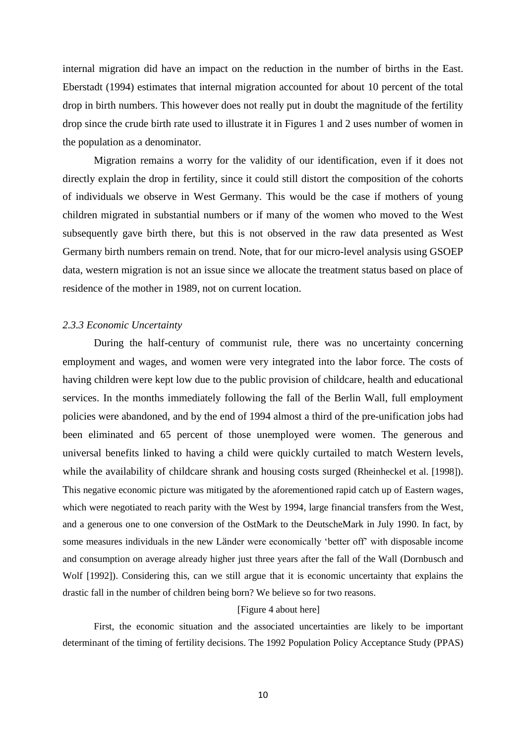internal migration did have an impact on the reduction in the number of births in the East. Eberstadt (1994) estimates that internal migration accounted for about 10 percent of the total drop in birth numbers. This however does not really put in doubt the magnitude of the fertility drop since the crude birth rate used to illustrate it in Figures 1 and 2 uses number of women in the population as a denominator.

Migration remains a worry for the validity of our identification, even if it does not directly explain the drop in fertility, since it could still distort the composition of the cohorts of individuals we observe in West Germany. This would be the case if mothers of young children migrated in substantial numbers or if many of the women who moved to the West subsequently gave birth there, but this is not observed in the raw data presented as West Germany birth numbers remain on trend. Note, that for our micro-level analysis using GSOEP data, western migration is not an issue since we allocate the treatment status based on place of residence of the mother in 1989, not on current location.

#### *2.3.3 Economic Uncertainty*

During the half-century of communist rule, there was no uncertainty concerning employment and wages, and women were very integrated into the labor force. The costs of having children were kept low due to the public provision of childcare, health and educational services. In the months immediately following the fall of the Berlin Wall, full employment policies were abandoned, and by the end of 1994 almost a third of the pre-unification jobs had been eliminated and 65 percent of those unemployed were women. The generous and universal benefits linked to having a child were quickly curtailed to match Western levels, while the availability of childcare shrank and housing costs surged (Rheinheckel et al. [1998]). This negative economic picture was mitigated by the aforementioned rapid catch up of Eastern wages, which were negotiated to reach parity with the West by 1994, large financial transfers from the West, and a generous one to one conversion of the OstMark to the DeutscheMark in July 1990. In fact, by some measures individuals in the new Länder were economically 'better off' with disposable income and consumption on average already higher just three years after the fall of the Wall (Dornbusch and Wolf [1992]). Considering this, can we still argue that it is economic uncertainty that explains the drastic fall in the number of children being born? We believe so for two reasons.

#### [Figure 4 about here]

First, the economic situation and the associated uncertainties are likely to be important determinant of the timing of fertility decisions. The 1992 Population Policy Acceptance Study (PPAS)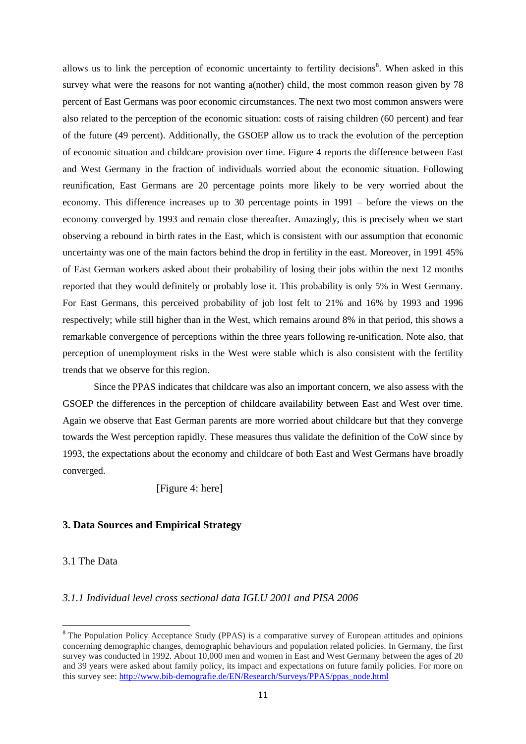allows us to link the perception of economic uncertainty to fertility decisions<sup>8</sup>. When asked in this survey what were the reasons for not wanting a(nother) child, the most common reason given by 78 percent of East Germans was poor economic circumstances. The next two most common answers were also related to the perception of the economic situation: costs of raising children (60 percent) and fear of the future (49 percent). Additionally, the GSOEP allow us to track the evolution of the perception of economic situation and childcare provision over time. Figure 4 reports the difference between East and West Germany in the fraction of individuals worried about the economic situation. Following reunification, East Germans are 20 percentage points more likely to be very worried about the economy. This difference increases up to 30 percentage points in 1991 – before the views on the economy converged by 1993 and remain close thereafter. Amazingly, this is precisely when we start observing a rebound in birth rates in the East, which is consistent with our assumption that economic uncertainty was one of the main factors behind the drop in fertility in the east. Moreover, in 1991 45% of East German workers asked about their probability of losing their jobs within the next 12 months reported that they would definitely or probably lose it. This probability is only 5% in West Germany. For East Germans, this perceived probability of job lost felt to 21% and 16% by 1993 and 1996 respectively; while still higher than in the West, which remains around 8% in that period, this shows a remarkable convergence of perceptions within the three years following re-unification. Note also, that perception of unemployment risks in the West were stable which is also consistent with the fertility trends that we observe for this region.

Since the PPAS indicates that childcare was also an important concern, we also assess with the GSOEP the differences in the perception of childcare availability between East and West over time. Again we observe that East German parents are more worried about childcare but that they converge towards the West perception rapidly. These measures thus validate the definition of the CoW since by 1993, the expectations about the economy and childcare of both East and West Germans have broadly converged.

[Figure 4: here]

## **3. Data Sources and Empirical Strategy**

## 3.1 The Data

 $\overline{\phantom{a}}$ 

## *3.1.1 Individual level cross sectional data IGLU 2001 and PISA 2006*

<sup>&</sup>lt;sup>8</sup> The Population Policy Acceptance Study (PPAS) is a comparative survey of European attitudes and opinions concerning demographic changes, demographic behaviours and population related policies. In Germany, the first survey was conducted in 1992. About 10,000 men and women in East and West Germany between the ages of 20 and 39 years were asked about family policy, its impact and expectations on future family policies. For more on this survey see: [http://www.bib-demografie.de/EN/Research/Surveys/PPAS/ppas\\_node.html](http://www.bib-demografie.de/EN/Research/Surveys/PPAS/ppas_node.html)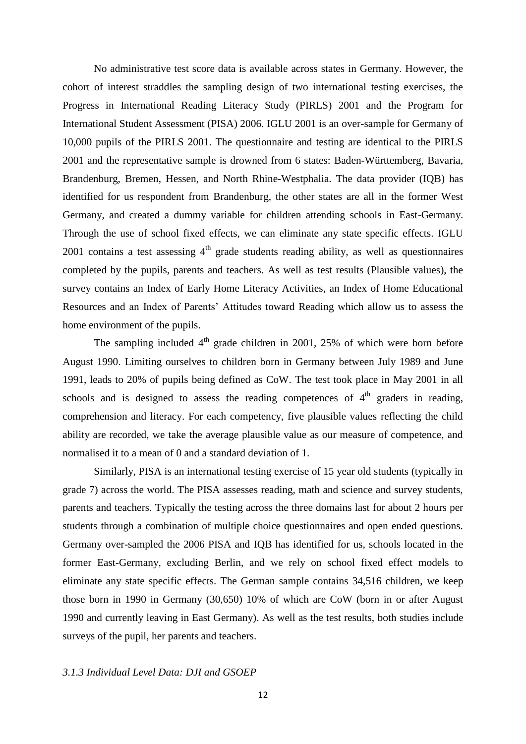No administrative test score data is available across states in Germany. However, the cohort of interest straddles the sampling design of two international testing exercises, the Progress in International Reading Literacy Study (PIRLS) 2001 and the Program for International Student Assessment (PISA) 2006. IGLU 2001 is an over-sample for Germany of 10,000 pupils of the PIRLS 2001. The questionnaire and testing are identical to the PIRLS 2001 and the representative sample is drowned from 6 states: Baden-Württemberg, Bavaria, Brandenburg, Bremen, Hessen, and North Rhine-Westphalia. The data provider (IQB) has identified for us respondent from Brandenburg, the other states are all in the former West Germany, and created a dummy variable for children attending schools in East-Germany. Through the use of school fixed effects, we can eliminate any state specific effects. IGLU 2001 contains a test assessing  $4<sup>th</sup>$  grade students reading ability, as well as questionnaires completed by the pupils, parents and teachers. As well as test results (Plausible values), the survey contains an Index of Early Home Literacy Activities, an Index of Home Educational Resources and an Index of Parents' Attitudes toward Reading which allow us to assess the home environment of the pupils.

The sampling included  $4<sup>th</sup>$  grade children in 2001, 25% of which were born before August 1990. Limiting ourselves to children born in Germany between July 1989 and June 1991, leads to 20% of pupils being defined as CoW. The test took place in May 2001 in all schools and is designed to assess the reading competences of  $4<sup>th</sup>$  graders in reading, comprehension and literacy. For each competency, five plausible values reflecting the child ability are recorded, we take the average plausible value as our measure of competence, and normalised it to a mean of 0 and a standard deviation of 1.

Similarly, PISA is an international testing exercise of 15 year old students (typically in grade 7) across the world. The PISA assesses reading, math and science and survey students, parents and teachers. Typically the testing across the three domains last for about 2 hours per students through a combination of multiple choice questionnaires and open ended questions. Germany over-sampled the 2006 PISA and IQB has identified for us, schools located in the former East-Germany, excluding Berlin, and we rely on school fixed effect models to eliminate any state specific effects. The German sample contains 34,516 children, we keep those born in 1990 in Germany (30,650) 10% of which are CoW (born in or after August 1990 and currently leaving in East Germany). As well as the test results, both studies include surveys of the pupil, her parents and teachers.

## *3.1.3 Individual Level Data: DJI and GSOEP*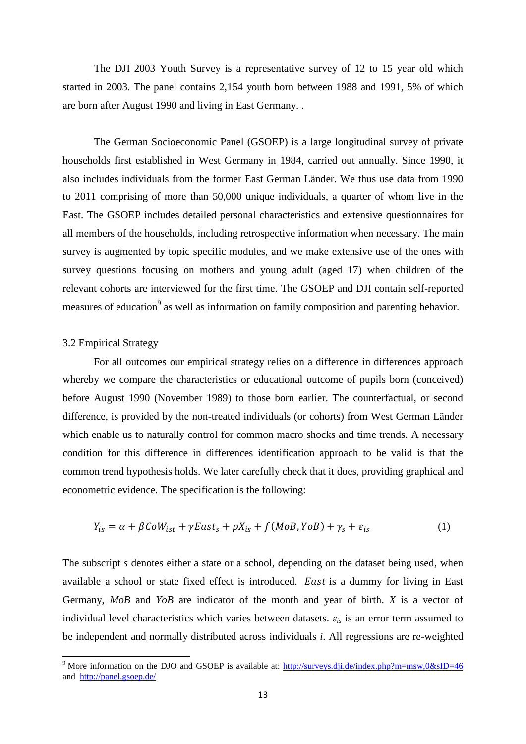The DJI 2003 Youth Survey is a representative survey of 12 to 15 year old which started in 2003. The panel contains 2,154 youth born between 1988 and 1991, 5% of which are born after August 1990 and living in East Germany. .

The German Socioeconomic Panel (GSOEP) is a large longitudinal survey of private households first established in West Germany in 1984, carried out annually. Since 1990, it also includes individuals from the former East German Länder. We thus use data from 1990 to 2011 comprising of more than 50,000 unique individuals, a quarter of whom live in the East. The GSOEP includes detailed personal characteristics and extensive questionnaires for all members of the households, including retrospective information when necessary. The main survey is augmented by topic specific modules, and we make extensive use of the ones with survey questions focusing on mothers and young adult (aged 17) when children of the relevant cohorts are interviewed for the first time. The GSOEP and DJI contain self-reported measures of education<sup>9</sup> as well as information on family composition and parenting behavior.

## 3.2 Empirical Strategy

 $\overline{\phantom{a}}$ 

For all outcomes our empirical strategy relies on a difference in differences approach whereby we compare the characteristics or educational outcome of pupils born (conceived) before August 1990 (November 1989) to those born earlier. The counterfactual, or second difference, is provided by the non-treated individuals (or cohorts) from West German Länder which enable us to naturally control for common macro shocks and time trends. A necessary condition for this difference in differences identification approach to be valid is that the common trend hypothesis holds. We later carefully check that it does, providing graphical and econometric evidence. The specification is the following:

$$
Y_{is} = \alpha + \beta \text{Co}W_{ist} + \gamma \text{East}_s + \rho X_{is} + f(\text{MoB}, \text{YoB}) + \gamma_s + \varepsilon_{is}
$$
 (1)

The subscript *s* denotes either a state or a school, depending on the dataset being used, when available a school or state fixed effect is introduced. East is a dummy for living in East Germany, *MoB* and *YoB* are indicator of the month and year of birth. *X* is a vector of individual level characteristics which varies between datasets.  $\varepsilon_{is}$  is an error term assumed to be independent and normally distributed across individuals *i*. All regressions are re-weighted

<sup>&</sup>lt;sup>9</sup> More information on the DJO and GSOEP is available at:  $\frac{http://surveys.dji.de/index.php?m=msw,0&sID=46}$ and <http://panel.gsoep.de/>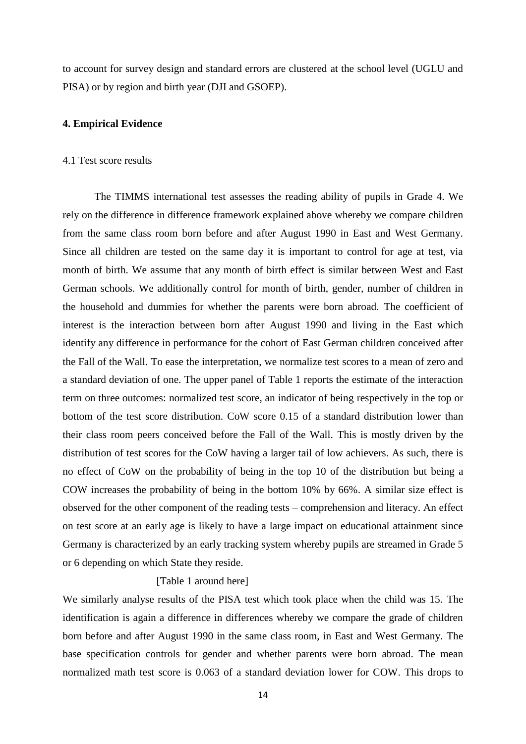to account for survey design and standard errors are clustered at the school level (UGLU and PISA) or by region and birth year (DJI and GSOEP).

## **4. Empirical Evidence**

#### 4.1 Test score results

The TIMMS international test assesses the reading ability of pupils in Grade 4. We rely on the difference in difference framework explained above whereby we compare children from the same class room born before and after August 1990 in East and West Germany. Since all children are tested on the same day it is important to control for age at test, via month of birth. We assume that any month of birth effect is similar between West and East German schools. We additionally control for month of birth, gender, number of children in the household and dummies for whether the parents were born abroad. The coefficient of interest is the interaction between born after August 1990 and living in the East which identify any difference in performance for the cohort of East German children conceived after the Fall of the Wall. To ease the interpretation, we normalize test scores to a mean of zero and a standard deviation of one. The upper panel of Table 1 reports the estimate of the interaction term on three outcomes: normalized test score, an indicator of being respectively in the top or bottom of the test score distribution. CoW score 0.15 of a standard distribution lower than their class room peers conceived before the Fall of the Wall. This is mostly driven by the distribution of test scores for the CoW having a larger tail of low achievers. As such, there is no effect of CoW on the probability of being in the top 10 of the distribution but being a COW increases the probability of being in the bottom 10% by 66%. A similar size effect is observed for the other component of the reading tests – comprehension and literacy. An effect on test score at an early age is likely to have a large impact on educational attainment since Germany is characterized by an early tracking system whereby pupils are streamed in Grade 5 or 6 depending on which State they reside.

#### [Table 1 around here]

We similarly analyse results of the PISA test which took place when the child was 15. The identification is again a difference in differences whereby we compare the grade of children born before and after August 1990 in the same class room, in East and West Germany. The base specification controls for gender and whether parents were born abroad. The mean normalized math test score is 0.063 of a standard deviation lower for COW. This drops to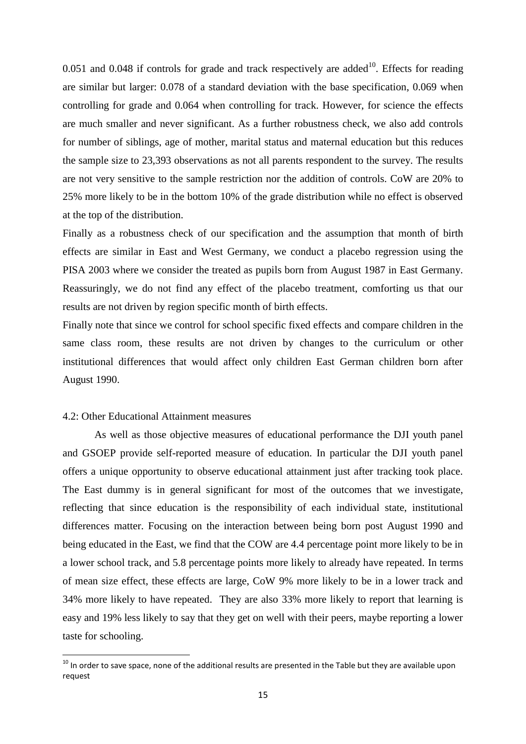$0.051$  and  $0.048$  if controls for grade and track respectively are added<sup>10</sup>. Effects for reading are similar but larger: 0.078 of a standard deviation with the base specification, 0.069 when controlling for grade and 0.064 when controlling for track. However, for science the effects are much smaller and never significant. As a further robustness check, we also add controls for number of siblings, age of mother, marital status and maternal education but this reduces the sample size to 23,393 observations as not all parents respondent to the survey. The results are not very sensitive to the sample restriction nor the addition of controls. CoW are 20% to 25% more likely to be in the bottom 10% of the grade distribution while no effect is observed at the top of the distribution.

Finally as a robustness check of our specification and the assumption that month of birth effects are similar in East and West Germany, we conduct a placebo regression using the PISA 2003 where we consider the treated as pupils born from August 1987 in East Germany. Reassuringly, we do not find any effect of the placebo treatment, comforting us that our results are not driven by region specific month of birth effects.

Finally note that since we control for school specific fixed effects and compare children in the same class room, these results are not driven by changes to the curriculum or other institutional differences that would affect only children East German children born after August 1990.

## 4.2: Other Educational Attainment measures

 $\overline{a}$ 

As well as those objective measures of educational performance the DJI youth panel and GSOEP provide self-reported measure of education. In particular the DJI youth panel offers a unique opportunity to observe educational attainment just after tracking took place. The East dummy is in general significant for most of the outcomes that we investigate, reflecting that since education is the responsibility of each individual state, institutional differences matter. Focusing on the interaction between being born post August 1990 and being educated in the East, we find that the COW are 4.4 percentage point more likely to be in a lower school track, and 5.8 percentage points more likely to already have repeated. In terms of mean size effect, these effects are large, CoW 9% more likely to be in a lower track and 34% more likely to have repeated. They are also 33% more likely to report that learning is easy and 19% less likely to say that they get on well with their peers, maybe reporting a lower taste for schooling.

 $^{10}$  In order to save space, none of the additional results are presented in the Table but they are available upon request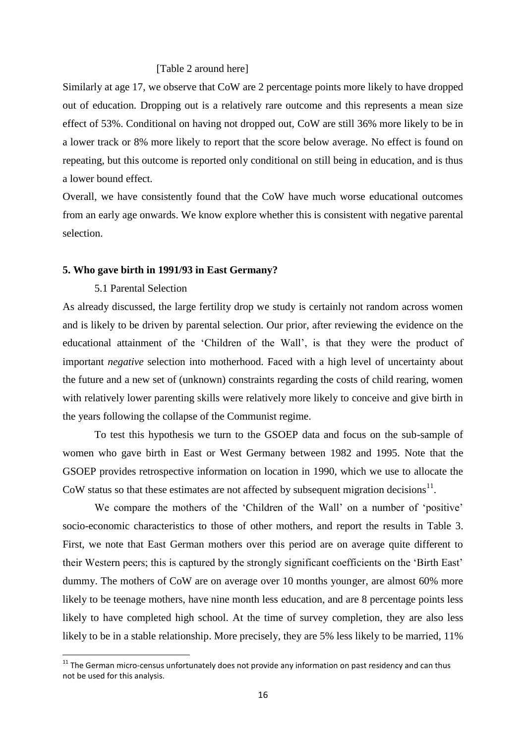#### [Table 2 around here]

Similarly at age 17, we observe that CoW are 2 percentage points more likely to have dropped out of education. Dropping out is a relatively rare outcome and this represents a mean size effect of 53%. Conditional on having not dropped out, CoW are still 36% more likely to be in a lower track or 8% more likely to report that the score below average. No effect is found on repeating, but this outcome is reported only conditional on still being in education, and is thus a lower bound effect.

Overall, we have consistently found that the CoW have much worse educational outcomes from an early age onwards. We know explore whether this is consistent with negative parental selection.

#### **5. Who gave birth in 1991/93 in East Germany?**

## 5.1 Parental Selection

 $\overline{a}$ 

As already discussed, the large fertility drop we study is certainly not random across women and is likely to be driven by parental selection. Our prior, after reviewing the evidence on the educational attainment of the 'Children of the Wall', is that they were the product of important *negative* selection into motherhood. Faced with a high level of uncertainty about the future and a new set of (unknown) constraints regarding the costs of child rearing, women with relatively lower parenting skills were relatively more likely to conceive and give birth in the years following the collapse of the Communist regime.

To test this hypothesis we turn to the GSOEP data and focus on the sub-sample of women who gave birth in East or West Germany between 1982 and 1995. Note that the GSOEP provides retrospective information on location in 1990, which we use to allocate the CoW status so that these estimates are not affected by subsequent migration decisions $11$ .

We compare the mothers of the 'Children of the Wall' on a number of 'positive' socio-economic characteristics to those of other mothers, and report the results in Table 3. First, we note that East German mothers over this period are on average quite different to their Western peers; this is captured by the strongly significant coefficients on the 'Birth East' dummy. The mothers of CoW are on average over 10 months younger, are almost 60% more likely to be teenage mothers, have nine month less education, and are 8 percentage points less likely to have completed high school. At the time of survey completion, they are also less likely to be in a stable relationship. More precisely, they are 5% less likely to be married, 11%

 $11$  The German micro-census unfortunately does not provide any information on past residency and can thus not be used for this analysis.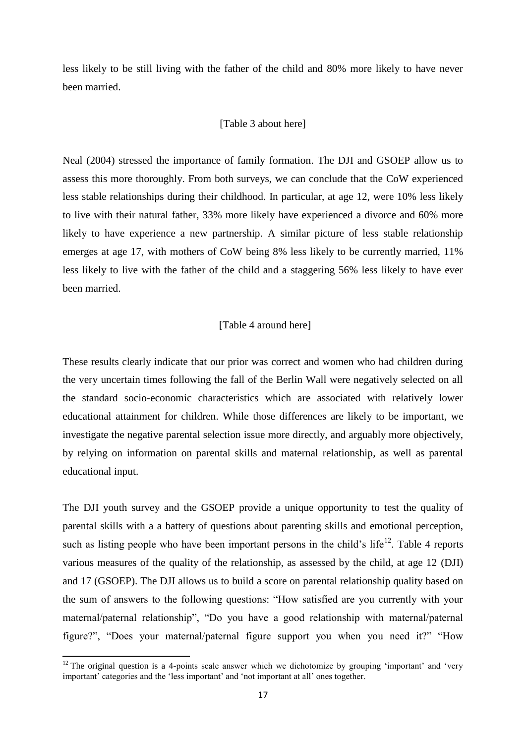less likely to be still living with the father of the child and 80% more likely to have never been married.

#### [Table 3 about here]

Neal (2004) stressed the importance of family formation. The DJI and GSOEP allow us to assess this more thoroughly. From both surveys, we can conclude that the CoW experienced less stable relationships during their childhood. In particular, at age 12, were 10% less likely to live with their natural father, 33% more likely have experienced a divorce and 60% more likely to have experience a new partnership. A similar picture of less stable relationship emerges at age 17, with mothers of CoW being 8% less likely to be currently married, 11% less likely to live with the father of the child and a staggering 56% less likely to have ever been married.

## [Table 4 around here]

These results clearly indicate that our prior was correct and women who had children during the very uncertain times following the fall of the Berlin Wall were negatively selected on all the standard socio-economic characteristics which are associated with relatively lower educational attainment for children. While those differences are likely to be important, we investigate the negative parental selection issue more directly, and arguably more objectively, by relying on information on parental skills and maternal relationship, as well as parental educational input.

The DJI youth survey and the GSOEP provide a unique opportunity to test the quality of parental skills with a a battery of questions about parenting skills and emotional perception, such as listing people who have been important persons in the child's life<sup>12</sup>. Table 4 reports various measures of the quality of the relationship, as assessed by the child, at age 12 (DJI) and 17 (GSOEP). The DJI allows us to build a score on parental relationship quality based on the sum of answers to the following questions: "How satisfied are you currently with your maternal/paternal relationship", "Do you have a good relationship with maternal/paternal figure?", "Does your maternal/paternal figure support you when you need it?" "How

 $\overline{\phantom{a}}$ 

 $12$  The original question is a 4-points scale answer which we dichotomize by grouping 'important' and 'very important' categories and the 'less important' and 'not important at all' ones together.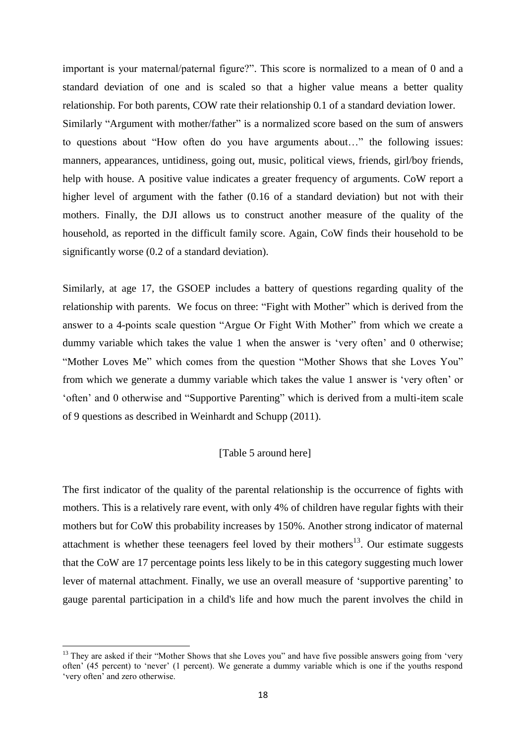important is your maternal/paternal figure?". This score is normalized to a mean of 0 and a standard deviation of one and is scaled so that a higher value means a better quality relationship. For both parents, COW rate their relationship 0.1 of a standard deviation lower. Similarly "Argument with mother/father" is a normalized score based on the sum of answers to questions about "How often do you have arguments about…" the following issues: manners, appearances, untidiness, going out, music, political views, friends, girl/boy friends, help with house. A positive value indicates a greater frequency of arguments. CoW report a higher level of argument with the father (0.16 of a standard deviation) but not with their mothers. Finally, the DJI allows us to construct another measure of the quality of the household, as reported in the difficult family score. Again, CoW finds their household to be significantly worse (0.2 of a standard deviation).

Similarly, at age 17, the GSOEP includes a battery of questions regarding quality of the relationship with parents. We focus on three: "Fight with Mother" which is derived from the answer to a 4-points scale question "Argue Or Fight With Mother" from which we create a dummy variable which takes the value 1 when the answer is 'very often' and 0 otherwise; "Mother Loves Me" which comes from the question "Mother Shows that she Loves You" from which we generate a dummy variable which takes the value 1 answer is 'very often' or 'often' and 0 otherwise and "Supportive Parenting" which is derived from a multi-item scale of 9 questions as described in Weinhardt and Schupp (2011).

## [Table 5 around here]

The first indicator of the quality of the parental relationship is the occurrence of fights with mothers. This is a relatively rare event, with only 4% of children have regular fights with their mothers but for CoW this probability increases by 150%. Another strong indicator of maternal attachment is whether these teenagers feel loved by their mothers<sup>13</sup>. Our estimate suggests that the CoW are 17 percentage points less likely to be in this category suggesting much lower lever of maternal attachment. Finally, we use an overall measure of 'supportive parenting' to gauge parental participation in a child's life and how much the parent involves the child in

 $\overline{a}$ 

<sup>&</sup>lt;sup>13</sup> They are asked if their "Mother Shows that she Loves you" and have five possible answers going from 'very often' (45 percent) to 'never' (1 percent). We generate a dummy variable which is one if the youths respond 'very often' and zero otherwise.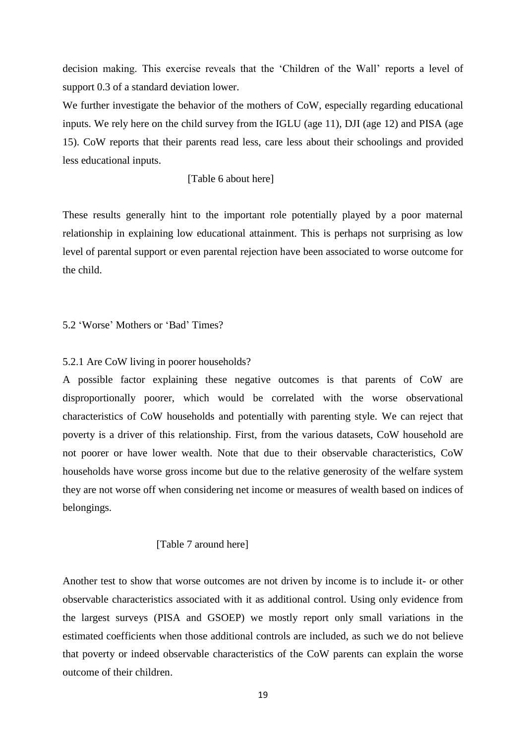decision making. This exercise reveals that the 'Children of the Wall' reports a level of support 0.3 of a standard deviation lower.

We further investigate the behavior of the mothers of CoW, especially regarding educational inputs. We rely here on the child survey from the IGLU (age 11), DJI (age 12) and PISA (age 15). CoW reports that their parents read less, care less about their schoolings and provided less educational inputs.

## [Table 6 about here]

These results generally hint to the important role potentially played by a poor maternal relationship in explaining low educational attainment. This is perhaps not surprising as low level of parental support or even parental rejection have been associated to worse outcome for the child.

5.2 'Worse' Mothers or 'Bad' Times?

## 5.2.1 Are CoW living in poorer households?

A possible factor explaining these negative outcomes is that parents of CoW are disproportionally poorer, which would be correlated with the worse observational characteristics of CoW households and potentially with parenting style. We can reject that poverty is a driver of this relationship. First, from the various datasets, CoW household are not poorer or have lower wealth. Note that due to their observable characteristics, CoW households have worse gross income but due to the relative generosity of the welfare system they are not worse off when considering net income or measures of wealth based on indices of belongings.

#### [Table 7 around here]

Another test to show that worse outcomes are not driven by income is to include it- or other observable characteristics associated with it as additional control. Using only evidence from the largest surveys (PISA and GSOEP) we mostly report only small variations in the estimated coefficients when those additional controls are included, as such we do not believe that poverty or indeed observable characteristics of the CoW parents can explain the worse outcome of their children.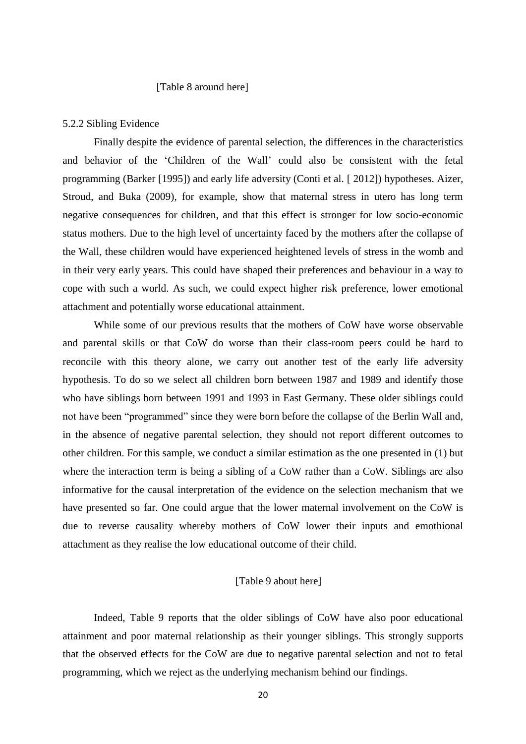## [Table 8 around here]

#### 5.2.2 Sibling Evidence

Finally despite the evidence of parental selection, the differences in the characteristics and behavior of the 'Children of the Wall' could also be consistent with the fetal programming (Barker [1995]) and early life adversity (Conti et al. [ 2012]) hypotheses. Aizer, Stroud, and Buka (2009), for example, show that maternal stress in utero has long term negative consequences for children, and that this effect is stronger for low socio-economic status mothers. Due to the high level of uncertainty faced by the mothers after the collapse of the Wall, these children would have experienced heightened levels of stress in the womb and in their very early years. This could have shaped their preferences and behaviour in a way to cope with such a world. As such, we could expect higher risk preference, lower emotional attachment and potentially worse educational attainment.

While some of our previous results that the mothers of CoW have worse observable and parental skills or that CoW do worse than their class-room peers could be hard to reconcile with this theory alone, we carry out another test of the early life adversity hypothesis. To do so we select all children born between 1987 and 1989 and identify those who have siblings born between 1991 and 1993 in East Germany. These older siblings could not have been "programmed" since they were born before the collapse of the Berlin Wall and, in the absence of negative parental selection, they should not report different outcomes to other children. For this sample, we conduct a similar estimation as the one presented in (1) but where the interaction term is being a sibling of a CoW rather than a CoW. Siblings are also informative for the causal interpretation of the evidence on the selection mechanism that we have presented so far. One could argue that the lower maternal involvement on the CoW is due to reverse causality whereby mothers of CoW lower their inputs and emothional attachment as they realise the low educational outcome of their child.

## [Table 9 about here]

Indeed, Table 9 reports that the older siblings of CoW have also poor educational attainment and poor maternal relationship as their younger siblings. This strongly supports that the observed effects for the CoW are due to negative parental selection and not to fetal programming, which we reject as the underlying mechanism behind our findings.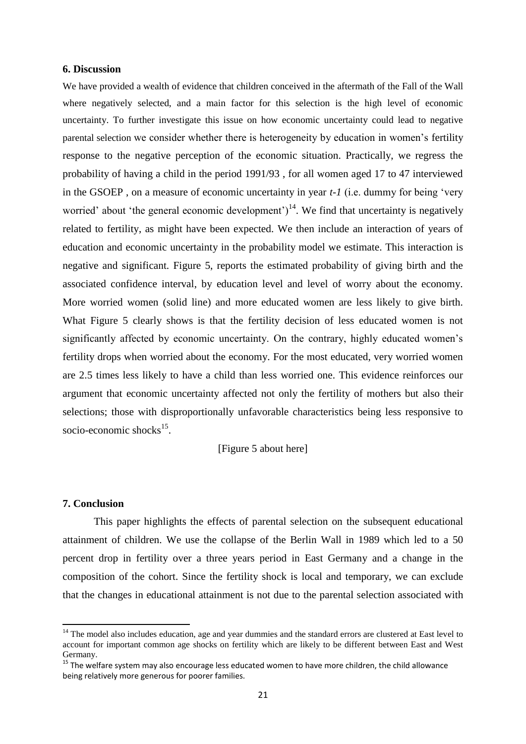#### **6. Discussion**

We have provided a wealth of evidence that children conceived in the aftermath of the Fall of the Wall where negatively selected, and a main factor for this selection is the high level of economic uncertainty. To further investigate this issue on how economic uncertainty could lead to negative parental selection we consider whether there is heterogeneity by education in women's fertility response to the negative perception of the economic situation. Practically, we regress the probability of having a child in the period 1991/93 , for all women aged 17 to 47 interviewed in the GSOEP , on a measure of economic uncertainty in year *t-1* (i.e. dummy for being 'very worried' about 'the general economic development')<sup>14</sup>. We find that uncertainty is negatively related to fertility, as might have been expected. We then include an interaction of years of education and economic uncertainty in the probability model we estimate. This interaction is negative and significant. Figure 5, reports the estimated probability of giving birth and the associated confidence interval, by education level and level of worry about the economy. More worried women (solid line) and more educated women are less likely to give birth. What Figure 5 clearly shows is that the fertility decision of less educated women is not significantly affected by economic uncertainty. On the contrary, highly educated women's fertility drops when worried about the economy. For the most educated, very worried women are 2.5 times less likely to have a child than less worried one. This evidence reinforces our argument that economic uncertainty affected not only the fertility of mothers but also their selections; those with disproportionally unfavorable characteristics being less responsive to socio-economic shocks<sup>15</sup>.

[Figure 5 about here]

## **7. Conclusion**

 $\overline{\phantom{a}}$ 

This paper highlights the effects of parental selection on the subsequent educational attainment of children. We use the collapse of the Berlin Wall in 1989 which led to a 50 percent drop in fertility over a three years period in East Germany and a change in the composition of the cohort. Since the fertility shock is local and temporary, we can exclude that the changes in educational attainment is not due to the parental selection associated with

<sup>&</sup>lt;sup>14</sup> The model also includes education, age and year dummies and the standard errors are clustered at East level to account for important common age shocks on fertility which are likely to be different between East and West Germany.

<sup>&</sup>lt;sup>15</sup> The welfare system may also encourage less educated women to have more children, the child allowance being relatively more generous for poorer families.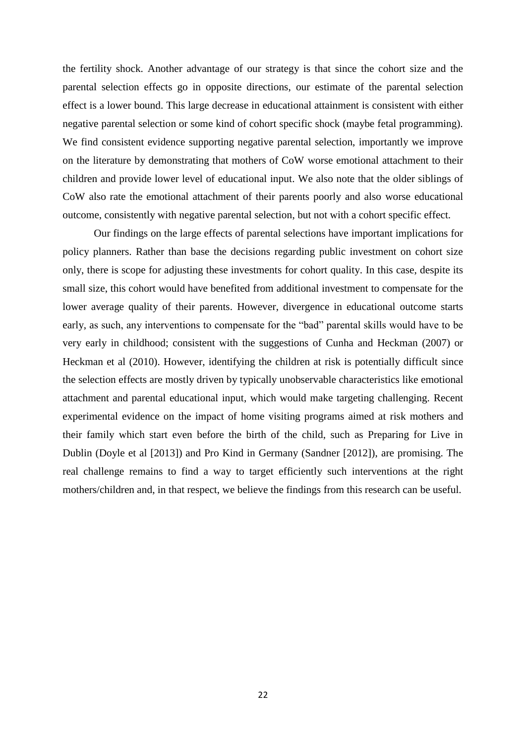the fertility shock. Another advantage of our strategy is that since the cohort size and the parental selection effects go in opposite directions, our estimate of the parental selection effect is a lower bound. This large decrease in educational attainment is consistent with either negative parental selection or some kind of cohort specific shock (maybe fetal programming). We find consistent evidence supporting negative parental selection, importantly we improve on the literature by demonstrating that mothers of CoW worse emotional attachment to their children and provide lower level of educational input. We also note that the older siblings of CoW also rate the emotional attachment of their parents poorly and also worse educational outcome, consistently with negative parental selection, but not with a cohort specific effect.

Our findings on the large effects of parental selections have important implications for policy planners. Rather than base the decisions regarding public investment on cohort size only, there is scope for adjusting these investments for cohort quality. In this case, despite its small size, this cohort would have benefited from additional investment to compensate for the lower average quality of their parents. However, divergence in educational outcome starts early, as such, any interventions to compensate for the "bad" parental skills would have to be very early in childhood; consistent with the suggestions of Cunha and Heckman (2007) or Heckman et al (2010). However, identifying the children at risk is potentially difficult since the selection effects are mostly driven by typically unobservable characteristics like emotional attachment and parental educational input, which would make targeting challenging. Recent experimental evidence on the impact of home visiting programs aimed at risk mothers and their family which start even before the birth of the child, such as Preparing for Live in Dublin (Doyle et al [2013]) and Pro Kind in Germany (Sandner [2012]), are promising. The real challenge remains to find a way to target efficiently such interventions at the right mothers/children and, in that respect, we believe the findings from this research can be useful.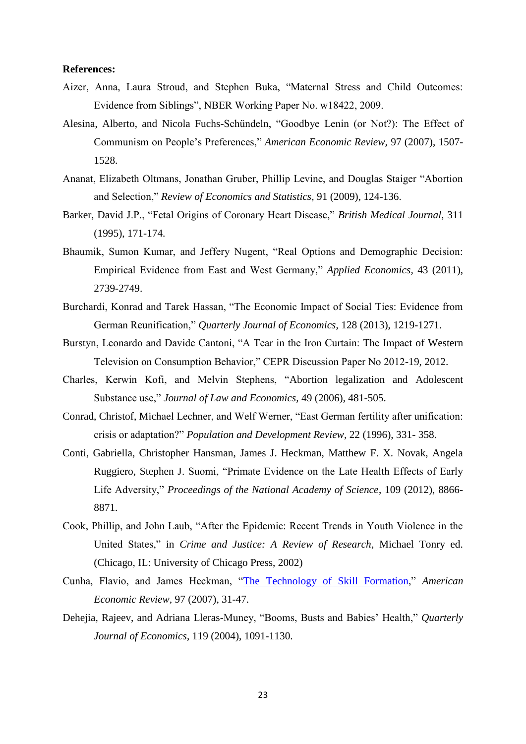## **References:**

- Aizer, Anna, Laura Stroud, and Stephen Buka, "Maternal Stress and Child Outcomes: Evidence from Siblings", NBER Working Paper No. w18422, 2009.
- Alesina, Alberto, and Nicola Fuchs-Schündeln, "Goodbye Lenin (or Not?): The Effect of Communism on People's Preferences," *American Economic Review,* 97 (2007), 1507- 1528.
- Ananat, Elizabeth Oltmans, Jonathan Gruber, Phillip Levine, and Douglas Staiger "Abortion and Selection," *Review of Economics and Statistics*, 91 (2009), 124-136.
- Barker, David J.P., "Fetal Origins of Coronary Heart Disease," *British Medical Journal*, 311 (1995), 171-174.
- Bhaumik, Sumon Kumar, and Jeffery Nugent, "Real Options and Demographic Decision: Empirical Evidence from East and West Germany," *Applied Economics*, 43 (2011), 2739-2749.
- Burchardi, Konrad and Tarek Hassan, "The Economic Impact of Social Ties: Evidence from German Reunification," *Quarterly Journal of Economics*, 128 (2013), 1219-1271.
- Burstyn, Leonardo and Davide Cantoni, "A Tear in the Iron Curtain: The Impact of Western Television on Consumption Behavior," CEPR Discussion Paper No 2012-19, 2012.
- Charles, Kerwin Kofi, and Melvin Stephens, "Abortion legalization and Adolescent Substance use," *Journal of Law and Economics,* 49 (2006), 481-505.
- Conrad, Christof, Michael Lechner, and Welf Werner, "East German fertility after unification: crisis or adaptation?" *Population and Development Review,* 22 (1996), 331- 358.
- Conti, Gabriella, Christopher Hansman, James J. Heckman, Matthew F. X. Novak, Angela Ruggiero, Stephen J. Suomi, "Primate Evidence on the Late Health Effects of Early Life Adversity," *Proceedings of the National Academy of Science*, 109 (2012), 8866- 8871.
- Cook, Phillip, and John Laub, "After the Epidemic: Recent Trends in Youth Violence in the United States," in *Crime and Justice: A Review of Research*, Michael Tonry ed. (Chicago, IL: University of Chicago Press, 2002)
- Cunha, Flavio, and James Heckman, ["The Technology of Skill Formation,](http://jenni.uchicago.edu/papers/Cunha-Heckman_AER_v97n2_2007.pdf)" *American Economic Review,* 97 (2007), 31-47.
- Dehejia, Rajeev, and Adriana Lleras-Muney, "Booms, Busts and Babies' Health," *Quarterly Journal of Economics*, 119 (2004), 1091-1130.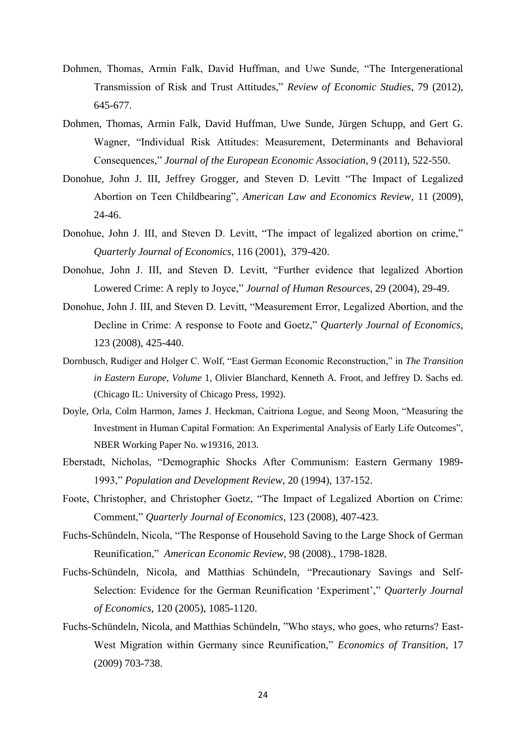- Dohmen, Thomas, Armin Falk, David Huffman, and Uwe Sunde, "The Intergenerational Transmission of Risk and Trust Attitudes," *Review of Economic Studies*, 79 (2012), 645-677.
- Dohmen, Thomas, Armin Falk, David Huffman, Uwe Sunde, Jürgen Schupp, and Gert G. Wagner, "Individual Risk Attitudes: Measurement, Determinants and Behavioral Consequences," *Journal of the European Economic Association*, 9 (2011), 522-550.
- Donohue, John J. III, Jeffrey Grogger, and Steven D. Levitt "The Impact of Legalized Abortion on Teen Childbearing", *American Law and Economics Review*, 11 (2009), 24-46.
- Donohue, John J. III, and Steven D. Levitt, "The impact of legalized abortion on crime," *Quarterly Journal of Economics*, 116 (2001), 379-420.
- Donohue, John J. III, and Steven D. Levitt, "Further evidence that legalized Abortion Lowered Crime: A reply to Joyce," *Journal of Human Resources*, 29 (2004), 29-49.
- Donohue, John J. III, and Steven D. Levitt, "Measurement Error, Legalized Abortion, and the Decline in Crime: A response to Foote and Goetz," *Quarterly Journal of Economics*, 123 (2008), 425-440.
- Dornbusch, Rudiger and Holger C. Wolf, "East German Economic Reconstruction," in *The Transition in Eastern Europe, Volume* 1, Olivier Blanchard, Kenneth A. Froot, and Jeffrey D. Sachs ed. (Chicago IL: University of Chicago Press, 1992).
- Doyle, Orla, Colm Harmon, James J. Heckman, Caitriona Logue, and Seong Moon, "Measuring the Investment in Human Capital Formation: An Experimental Analysis of Early Life Outcomes", NBER Working Paper No. w19316, 2013.
- Eberstadt, Nicholas, "Demographic Shocks After Communism: Eastern Germany 1989- 1993," *Population and Development Review*, 20 (1994), 137-152.
- Foote, Christopher, and Christopher Goetz, "The Impact of Legalized Abortion on Crime: Comment," *Quarterly Journal of Economics*, 123 (2008), 407-423.
- Fuchs-Schündeln, Nicola, "The Response of Household Saving to the Large Shock of German Reunification," *American Economic Review*, 98 (2008)., 1798-1828.
- Fuchs-Schündeln, Nicola, and Matthias Schündeln, "Precautionary Savings and Self-Selection: Evidence for the German Reunification 'Experiment'," *Quarterly Journal of Economics*, 120 (2005), 1085-1120.
- Fuchs-Schündeln, Nicola, and Matthias Schündeln, "Who stays, who goes, who returns? East-West Migration within Germany since Reunification," *Economics of Transition*, 17 (2009) 703-738.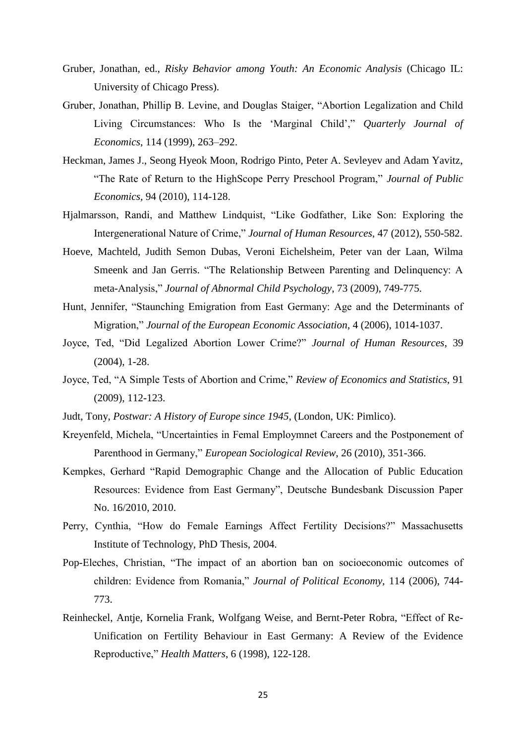- Gruber, Jonathan, ed., *Risky Behavior among Youth: An Economic Analysis* (Chicago IL: University of Chicago Press).
- Gruber, Jonathan, Phillip B. Levine, and Douglas Staiger, "Abortion Legalization and Child Living Circumstances: Who Is the 'Marginal Child'," *Quarterly Journal of Economics*, 114 (1999), 263–292.
- Heckman, James J., Seong Hyeok Moon, Rodrigo Pinto, Peter A. Sevleyev and Adam Yavitz, "The Rate of Return to the HighScope Perry Preschool Program," *Journal of Public Economics,* 94 (2010), 114-128.
- Hjalmarsson, Randi, and Matthew Lindquist, "Like Godfather, Like Son: Exploring the Intergenerational Nature of Crime," *Journal of Human Resources*, 47 (2012), 550-582.
- Hoeve, Machteld, Judith Semon Dubas, Veroni Eichelsheim, Peter van der Laan, Wilma Smeenk and Jan Gerris. "The Relationship Between Parenting and Delinquency: A meta-Analysis," *Journal of Abnormal Child Psychology*, 73 (2009), 749-775.
- Hunt, Jennifer, "Staunching Emigration from East Germany: Age and the Determinants of Migration," *Journal of the European Economic Association*, 4 (2006), 1014-1037.
- Joyce, Ted, "Did Legalized Abortion Lower Crime?" *Journal of Human Resources*, 39 (2004), 1-28.
- Joyce, Ted, "A Simple Tests of Abortion and Crime," *Review of Economics and Statistics*, 91 (2009), 112-123.
- Judt, Tony, *Postwar: A History of Europe since 1945*, (London, UK: Pimlico).
- Kreyenfeld, Michela, "Uncertainties in Femal Employmnet Careers and the Postponement of Parenthood in Germany," *European Sociological Review*, 26 (2010), 351-366.
- Kempkes, Gerhard "Rapid Demographic Change and the Allocation of Public Education Resources: Evidence from East Germany", Deutsche Bundesbank Discussion Paper No. 16/2010, 2010.
- Perry, Cynthia, "How do Female Earnings Affect Fertility Decisions?" Massachusetts Institute of Technology, PhD Thesis, 2004.
- Pop-Eleches, Christian, "The impact of an abortion ban on socioeconomic outcomes of children: Evidence from Romania," *Journal of Political Economy,* 114 (2006), 744- 773.
- Reinheckel, Antje, Kornelia Frank, Wolfgang Weise, and Bernt-Peter Robra, "Effect of Re-Unification on Fertility Behaviour in East Germany: A Review of the Evidence Reproductive," *Health Matters*, 6 (1998), 122-128.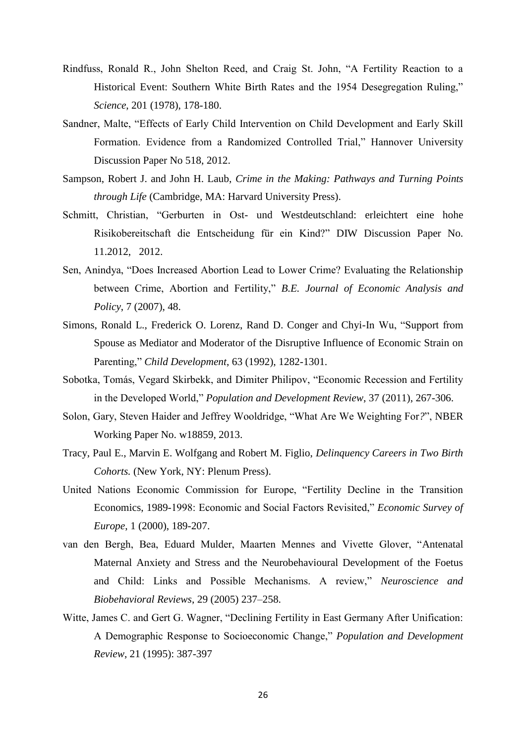- Rindfuss, Ronald R., John Shelton Reed, and Craig St. John, "A Fertility Reaction to a Historical Event: Southern White Birth Rates and the 1954 Desegregation Ruling," *Science*, 201 (1978), 178-180.
- Sandner, Malte, "Effects of Early Child Intervention on Child Development and Early Skill Formation. Evidence from a Randomized Controlled Trial," Hannover University Discussion Paper No 518, 2012.
- Sampson, Robert J. and John H. Laub, *Crime in the Making: Pathways and Turning Points through Life* (Cambridge, MA: Harvard University Press).
- Schmitt, Christian, "Gerburten in Ost- und Westdeutschland: erleichtert eine hohe Risikobereitschaft die Entscheidung für ein Kind?" DIW Discussion Paper No. 11.2012, 2012.
- Sen, Anindya, "Does Increased Abortion Lead to Lower Crime? Evaluating the Relationship between Crime, Abortion and Fertility," *B.E. Journal of Economic Analysis and Policy*, 7 (2007), 48.
- Simons, Ronald L., Frederick O. Lorenz, Rand D. Conger and Chyi-In Wu, "Support from Spouse as Mediator and Moderator of the Disruptive Influence of Economic Strain on Parenting," *Child Development*, 63 (1992), 1282-1301.
- Sobotka, Tomás, Vegard Skirbekk, and Dimiter Philipov, "Economic Recession and Fertility in the Developed World," *Population and Development Review*, 37 (2011), 267-306.
- Solon, Gary, Steven Haider and Jeffrey Wooldridge, "What Are We Weighting For*?*", NBER Working Paper No. w18859, 2013.
- Tracy, Paul E., Marvin E. Wolfgang and Robert M. Figlio, *Delinquency Careers in Two Birth Cohorts.* (New York, NY: Plenum Press).
- United Nations Economic Commission for Europe, "Fertility Decline in the Transition Economics, 1989-1998: Economic and Social Factors Revisited," *Economic Survey of Europe*, 1 (2000), 189-207.
- van den Bergh, Bea, Eduard Mulder, Maarten Mennes and Vivette Glover, "Antenatal Maternal Anxiety and Stress and the Neurobehavioural Development of the Foetus and Child: Links and Possible Mechanisms. A review," *Neuroscience and Biobehavioral Reviews*, 29 (2005) 237–258.
- Witte, James C. and Gert G. Wagner, "Declining Fertility in East Germany After Unification: A Demographic Response to Socioeconomic Change," *Population and Development Review*, 21 (1995): 387-397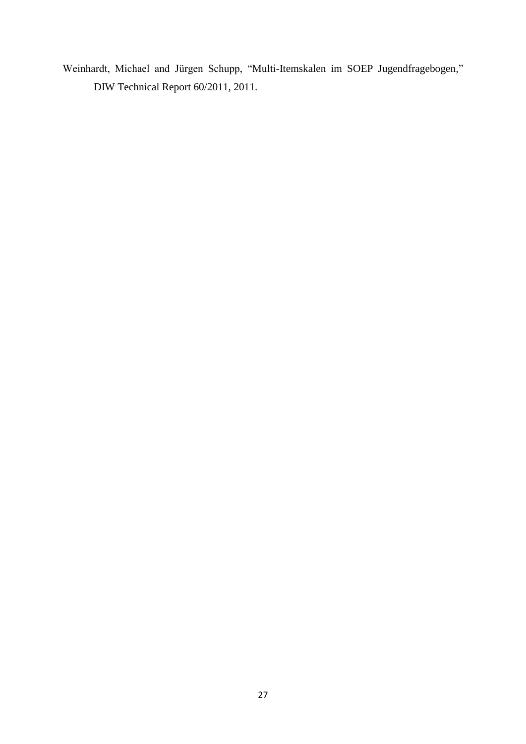Weinhardt, Michael and Jürgen Schupp, "Multi-Itemskalen im SOEP Jugendfragebogen*,*" DIW Technical Report 60/2011, 2011.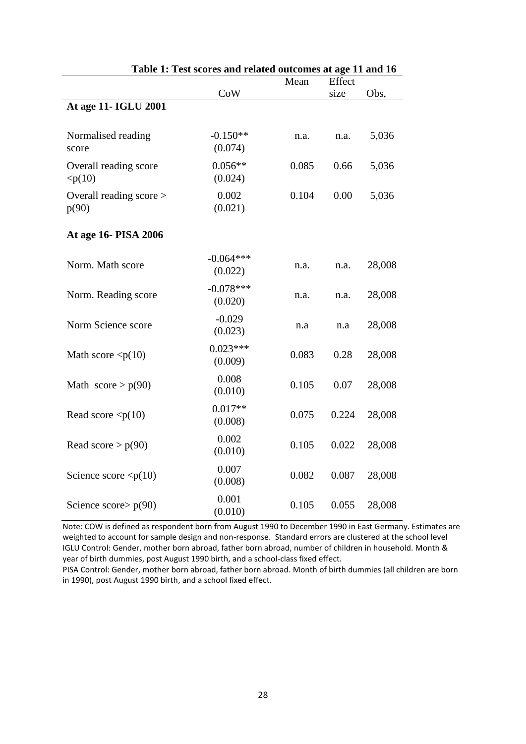|                                  | Table 1. Test scores and related outcomes at age 11 and 10 | Mean  | Effect |        |
|----------------------------------|------------------------------------------------------------|-------|--------|--------|
|                                  | CoW                                                        | size  |        | Obs,   |
| At age 11- IGLU 2001             |                                                            |       |        |        |
|                                  |                                                            |       |        |        |
| Normalised reading<br>score      | $-0.150**$<br>(0.074)                                      | n.a.  | n.a.   | 5,036  |
| Overall reading score<br>< p(10) | $0.056**$<br>(0.024)                                       | 0.085 | 0.66   | 5,036  |
| Overall reading score ><br>p(90) | 0.002<br>(0.021)                                           | 0.104 | 0.00   | 5,036  |
| At age 16- PISA 2006             |                                                            |       |        |        |
| Norm. Math score                 | $-0.064***$<br>(0.022)                                     | n.a.  | n.a.   | 28,008 |
| Norm. Reading score              | $-0.078***$<br>(0.020)                                     | n.a.  | n.a.   | 28,008 |
| Norm Science score               | $-0.029$<br>(0.023)                                        | n.a   | n.a    | 28,008 |
| Math score $\langle p(10)$       | $0.023***$<br>(0.009)                                      | 0.083 | 0.28   | 28,008 |
| Math $score > p(90)$             | 0.008<br>(0.010)                                           | 0.105 | 0.07   | 28,008 |
| Read score $\langle p(10)$       | $0.017**$<br>(0.008)                                       | 0.075 | 0.224  | 28,008 |
| Read score $> p(90)$             | 0.002<br>(0.010)                                           | 0.105 | 0.022  | 28,008 |
| Science score $\langle p(10)$    | 0.007<br>(0.008)                                           | 0.082 | 0.087  | 28,008 |
| Science score $p(90)$            | 0.001<br>(0.010)                                           | 0.105 | 0.055  | 28,008 |

## **Table 1: Test scores and related outcomes at age 11 and 16**

Note: COW is defined as respondent born from August 1990 to December 1990 in East Germany. Estimates are weighted to account for sample design and non-response. Standard errors are clustered at the school level IGLU Control: Gender, mother born abroad, father born abroad, number of children in household. Month & year of birth dummies, post August 1990 birth, and a school-class fixed effect.

PISA Control: Gender, mother born abroad, father born abroad. Month of birth dummies (all children are born in 1990), post August 1990 birth, and a school fixed effect.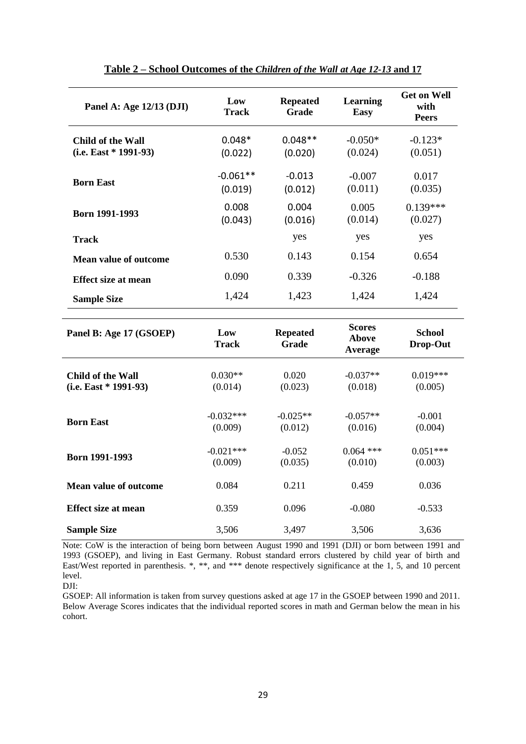| Panel A: Age $12/13$ (DJI)                   | Low<br><b>Track</b>   | <b>Repeated</b><br>Grade | Learning<br><b>Easy</b> | <b>Get on Well</b><br>with<br><b>Peers</b> |
|----------------------------------------------|-----------------------|--------------------------|-------------------------|--------------------------------------------|
| Child of the Wall<br>$(i.e. East * 1991-93)$ | $0.048*$<br>(0.022)   | $0.048**$<br>(0.020)     | $-0.050*$<br>(0.024)    | $-0.123*$<br>(0.051)                       |
| <b>Born East</b>                             | $-0.061**$<br>(0.019) | $-0.013$<br>(0.012)      | $-0.007$<br>(0.011)     | 0.017<br>(0.035)                           |
| <b>Born 1991-1993</b>                        | 0.008<br>(0.043)      | 0.004<br>(0.016)         | 0.005<br>(0.014)        | $0.139***$<br>(0.027)                      |
| <b>Track</b>                                 |                       | yes                      | yes                     | yes                                        |
| <b>Mean value of outcome</b>                 | 0.530                 | 0.143                    | 0.154                   | 0.654                                      |
| <b>Effect size at mean</b>                   | 0.090                 | 0.339                    | $-0.326$                | $-0.188$                                   |
| <b>Sample Size</b>                           | 1,424                 | 1,423                    | 1,424                   | 1,424                                      |
|                                              |                       |                          |                         |                                            |

| Panel B: Age 17 (GSOEP)    | Low<br><b>Track</b>    | <b>Repeated</b><br>Grade | <b>Scores</b><br>Above<br>Average | <b>School</b><br>Drop-Out |
|----------------------------|------------------------|--------------------------|-----------------------------------|---------------------------|
| Child of the Wall          | $0.030**$              | 0.020                    | $-0.037**$                        | $0.019***$                |
| $(i.e. East * 1991-93)$    | (0.014)                | (0.023)                  | (0.018)                           | (0.005)                   |
| <b>Born East</b>           | $-0.032***$<br>(0.009) | $-0.025**$<br>(0.012)    | $-0.057**$<br>(0.016)             | $-0.001$<br>(0.004)       |
| <b>Born 1991-1993</b>      | $-0.021***$<br>(0.009) | $-0.052$<br>(0.035)      | $0.064$ ***<br>(0.010)            | $0.051***$<br>(0.003)     |
| Mean value of outcome      | 0.084                  | 0.211                    | 0.459                             | 0.036                     |
| <b>Effect size at mean</b> | 0.359                  | 0.096                    | $-0.080$                          | $-0.533$                  |
| <b>Sample Size</b>         | 3,506                  | 3,497                    | 3,506                             | 3,636                     |

Note: CoW is the interaction of being born between August 1990 and 1991 (DJI) or born between 1991 and 1993 (GSOEP), and living in East Germany. Robust standard errors clustered by child year of birth and East/West reported in parenthesis. \*, \*\*, and \*\*\* denote respectively significance at the 1, 5, and 10 percent level.

DJI:

GSOEP: All information is taken from survey questions asked at age 17 in the GSOEP between 1990 and 2011. Below Average Scores indicates that the individual reported scores in math and German below the mean in his cohort.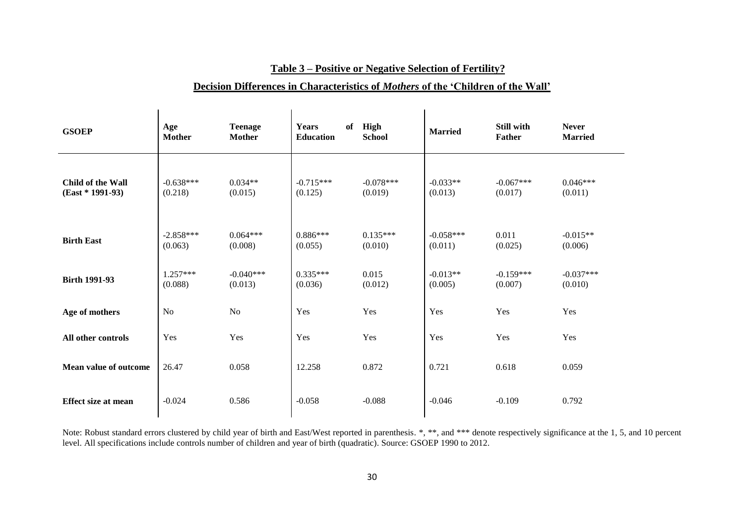## **Table 3 – Positive or Negative Selection of Fertility?**

## **Decision Differences in Characteristics of** *Mothers* **of the 'Children of the Wall'**

| <b>GSOEP</b>                            | Age<br><b>Mother</b>   | <b>Teenage</b><br><b>Mother</b> | <b>Years</b><br>of<br><b>Education</b> | High<br><b>School</b>  | <b>Married</b>         | <b>Still with</b><br>Father | <b>Never</b><br><b>Married</b> |
|-----------------------------------------|------------------------|---------------------------------|----------------------------------------|------------------------|------------------------|-----------------------------|--------------------------------|
| Child of the Wall<br>$(East * 1991-93)$ | $-0.638***$<br>(0.218) | $0.034**$<br>(0.015)            | $-0.715***$<br>(0.125)                 | $-0.078***$<br>(0.019) | $-0.033**$<br>(0.013)  | $-0.067***$<br>(0.017)      | $0.046***$<br>(0.011)          |
| <b>Birth East</b>                       | $-2.858***$<br>(0.063) | $0.064***$<br>(0.008)           | $0.886***$<br>(0.055)                  | $0.135***$<br>(0.010)  | $-0.058***$<br>(0.011) | 0.011<br>(0.025)            | $-0.015**$<br>(0.006)          |
| <b>Birth 1991-93</b>                    | $1.257***$<br>(0.088)  | $-0.040***$<br>(0.013)          | $0.335***$<br>(0.036)                  | 0.015<br>(0.012)       | $-0.013**$<br>(0.005)  | $-0.159***$<br>(0.007)      | $-0.037***$<br>(0.010)         |
| Age of mothers                          | N <sub>o</sub>         | No                              | Yes                                    | Yes                    | Yes                    | Yes                         | Yes                            |
| All other controls                      | Yes                    | Yes                             | Yes                                    | Yes                    | Yes                    | Yes                         | Yes                            |
| <b>Mean value of outcome</b>            | 26.47                  | 0.058                           | 12.258                                 | 0.872                  | 0.721                  | 0.618                       | 0.059                          |
| <b>Effect size at mean</b>              | $-0.024$               | 0.586                           | $-0.058$                               | $-0.088$               | $-0.046$               | $-0.109$                    | 0.792                          |

Note: Robust standard errors clustered by child year of birth and East/West reported in parenthesis. \*, \*\*, and \*\*\* denote respectively significance at the 1, 5, and 10 percent level. All specifications include controls number of children and year of birth (quadratic). Source: GSOEP 1990 to 2012.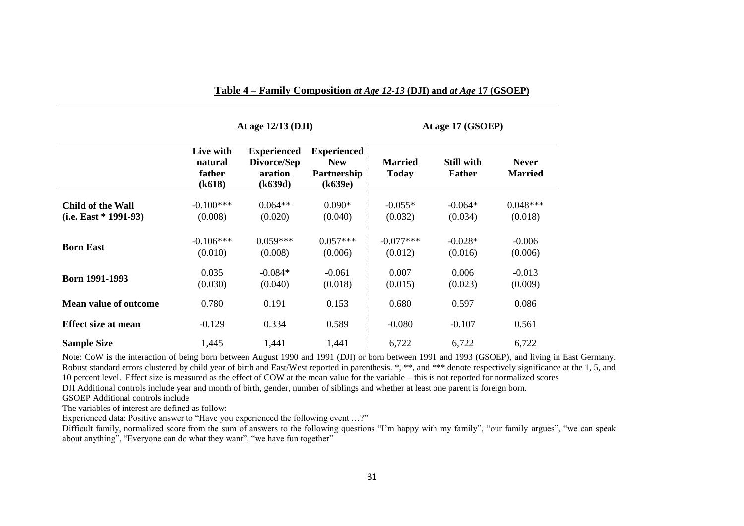|                                              |                                          | At age $12/13$ (DJI)                                    |                                                            |                                | At age 17 (GSOEP)                  |                                |  |
|----------------------------------------------|------------------------------------------|---------------------------------------------------------|------------------------------------------------------------|--------------------------------|------------------------------------|--------------------------------|--|
|                                              | Live with<br>natural<br>father<br>(k618) | <b>Experienced</b><br>Divorce/Sep<br>aration<br>(k639d) | <b>Experienced</b><br><b>New</b><br>Partnership<br>(k639e) | <b>Married</b><br><b>Today</b> | <b>Still with</b><br><b>Father</b> | <b>Never</b><br><b>Married</b> |  |
| Child of the Wall<br>$(i.e. East * 1991-93)$ | $-0.100***$<br>(0.008)                   | $0.064**$<br>(0.020)                                    | $0.090*$<br>(0.040)                                        | $-0.055*$<br>(0.032)           | $-0.064*$<br>(0.034)               | $0.048***$<br>(0.018)          |  |
| <b>Born East</b>                             | $-0.106***$<br>(0.010)                   | $0.059***$<br>(0.008)                                   | $0.057***$<br>(0.006)                                      | $-0.077***$<br>(0.012)         | $-0.028*$<br>(0.016)               | $-0.006$<br>(0.006)            |  |
| Born 1991-1993                               | 0.035<br>(0.030)                         | $-0.084*$<br>(0.040)                                    | $-0.061$<br>(0.018)                                        | 0.007<br>(0.015)               | 0.006<br>(0.023)                   | $-0.013$<br>(0.009)            |  |
| <b>Mean value of outcome</b>                 | 0.780                                    | 0.191                                                   | 0.153                                                      | 0.680                          | 0.597                              | 0.086                          |  |
| <b>Effect size at mean</b>                   | $-0.129$                                 | 0.334                                                   | 0.589                                                      | $-0.080$                       | $-0.107$                           | 0.561                          |  |
| <b>Sample Size</b>                           | 1,445                                    | 1,441                                                   | 1,441                                                      | 6,722                          | 6,722                              | 6,722                          |  |

Note: CoW is the interaction of being born between August 1990 and 1991 (DJI) or born between 1991 and 1993 (GSOEP), and living in East Germany. Robust standard errors clustered by child year of birth and East/West reported in parenthesis. \*, \*\*, and \*\*\* denote respectively significance at the 1, 5, and 10 percent level. Effect size is measured as the effect of COW at the mean value for the variable – this is not reported for normalized scores DJI Additional controls include year and month of birth, gender, number of siblings and whether at least one parent is foreign born. GSOEP Additional controls include

The variables of interest are defined as follow:

Experienced data: Positive answer to "Have you experienced the following event …?"

Difficult family, normalized score from the sum of answers to the following questions "I'm happy with my family", "our family argues", "we can speak about anything", "Everyone can do what they want", "we have fun together"

**Table 4 – Family Composition** *at Age 12-13* **(DJI) and** *at Age* **17 (GSOEP)**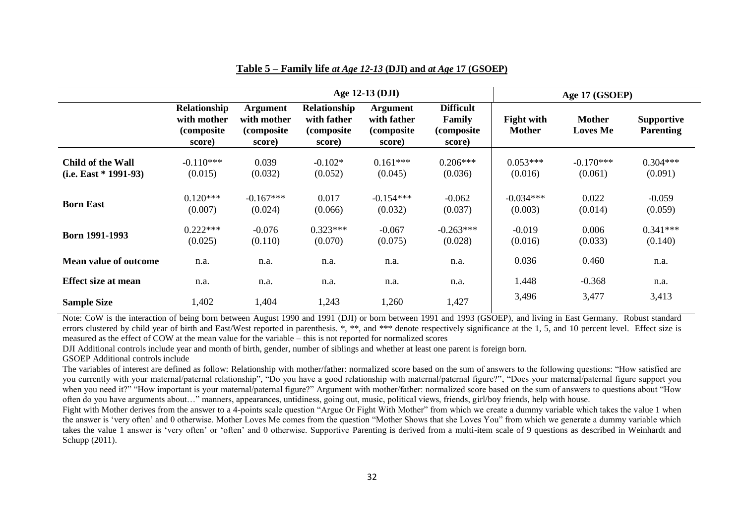|                                              | Age 12-13 (DJI)                                     |                                                         |                                                            |                                                         |                                                     |                                    | Age 17 (GSOEP)                   |                                       |
|----------------------------------------------|-----------------------------------------------------|---------------------------------------------------------|------------------------------------------------------------|---------------------------------------------------------|-----------------------------------------------------|------------------------------------|----------------------------------|---------------------------------------|
|                                              | Relationship<br>with mother<br>(composite<br>score) | <b>Argument</b><br>with mother<br>(composite)<br>score) | <b>Relationship</b><br>with father<br>(composite<br>score) | <b>Argument</b><br>with father<br>(composite)<br>score) | <b>Difficult</b><br>Family<br>(composite)<br>score) | <b>Fight with</b><br><b>Mother</b> | <b>Mother</b><br><b>Loves Me</b> | <b>Supportive</b><br><b>Parenting</b> |
| Child of the Wall<br>$(i.e. East * 1991-93)$ | $-0.110***$<br>(0.015)                              | 0.039<br>(0.032)                                        | $-0.102*$<br>(0.052)                                       | $0.161***$<br>(0.045)                                   | $0.206***$<br>(0.036)                               | $0.053***$<br>(0.016)              | $-0.170***$<br>(0.061)           | $0.304***$<br>(0.091)                 |
| <b>Born East</b>                             | $0.120***$<br>(0.007)                               | $-0.167***$<br>(0.024)                                  | 0.017<br>(0.066)                                           | $-0.154***$<br>(0.032)                                  | $-0.062$<br>(0.037)                                 | $-0.034***$<br>(0.003)             | 0.022<br>(0.014)                 | $-0.059$<br>(0.059)                   |
| Born 1991-1993                               | $0.222***$<br>(0.025)                               | $-0.076$<br>(0.110)                                     | $0.323***$<br>(0.070)                                      | $-0.067$<br>(0.075)                                     | $-0.263***$<br>(0.028)                              | $-0.019$<br>(0.016)                | 0.006<br>(0.033)                 | $0.341***$<br>(0.140)                 |
| <b>Mean value of outcome</b>                 | n.a.                                                | n.a.                                                    | n.a.                                                       | n.a.                                                    | n.a.                                                | 0.036                              | 0.460                            | n.a.                                  |
| <b>Effect size at mean</b>                   | n.a.                                                | n.a.                                                    | n.a.                                                       | n.a.                                                    | n.a.                                                | 1.448                              | $-0.368$                         | n.a.                                  |
| <b>Sample Size</b>                           | 1,402                                               | 1,404                                                   | 1,243                                                      | 1,260                                                   | 1,427                                               | 3,496                              | 3,477                            | 3,413                                 |

## **Table 5 – Family life** *at Age 12-13* **(DJI) and** *at Age* **17 (GSOEP)**

Note: CoW is the interaction of being born between August 1990 and 1991 (DJI) or born between 1991 and 1993 (GSOEP), and living in East Germany. Robust standard errors clustered by child year of birth and East/West reported in parenthesis. \*, \*\*, and \*\*\* denote respectively significance at the 1, 5, and 10 percent level. Effect size is measured as the effect of COW at the mean value for the variable – this is not reported for normalized scores

DJI Additional controls include year and month of birth, gender, number of siblings and whether at least one parent is foreign born.

#### GSOEP Additional controls include

The variables of interest are defined as follow: Relationship with mother/father: normalized score based on the sum of answers to the following questions: "How satisfied are you currently with your maternal/paternal relationship", "Do you have a good relationship with maternal/paternal figure?", "Does your maternal/paternal figure support you when you need it?" "How important is your maternal/paternal figure?" Argument with mother/father: normalized score based on the sum of answers to questions about "How often do you have arguments about…" manners, appearances, untidiness, going out, music, political views, friends, girl/boy friends, help with house.

Fight with Mother derives from the answer to a 4-points scale question "Argue Or Fight With Mother" from which we create a dummy variable which takes the value 1 when the answer is 'very often' and 0 otherwise. Mother Loves Me comes from the question "Mother Shows that she Loves You" from which we generate a dummy variable which takes the value 1 answer is 'very often' or 'often' and 0 otherwise. Supportive Parenting is derived from a multi-item scale of 9 questions as described in Weinhardt and Schupp (2011).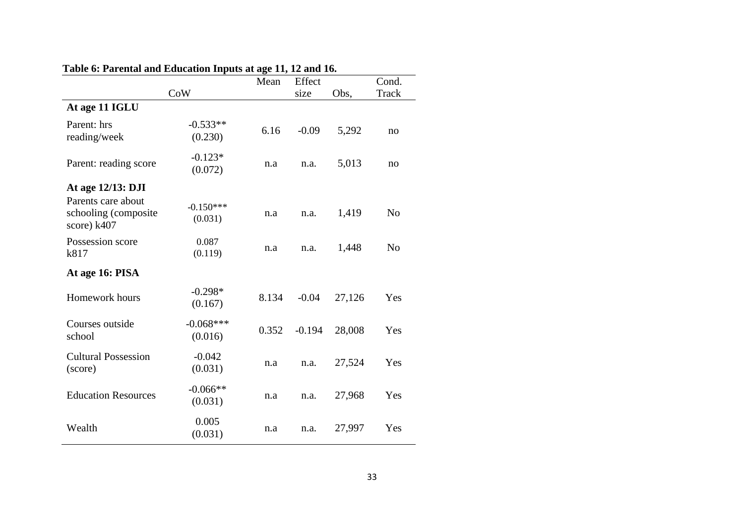|                                                           |                        | Mean  | Effect   |        | Cond.          |
|-----------------------------------------------------------|------------------------|-------|----------|--------|----------------|
|                                                           | CoW                    |       | size     | Obs,   | <b>Track</b>   |
| At age 11 IGLU                                            |                        |       |          |        |                |
| Parent: hrs<br>reading/week                               | $-0.533**$<br>(0.230)  | 6.16  | $-0.09$  | 5,292  | no             |
| Parent: reading score                                     | $-0.123*$<br>(0.072)   | n.a   | n.a.     | 5,013  | no             |
| At age 12/13: DJI                                         |                        |       |          |        |                |
| Parents care about<br>schooling (composite<br>score) k407 | $-0.150***$<br>(0.031) | n.a   | n.a.     | 1,419  | N <sub>o</sub> |
| Possession score<br>k817                                  | 0.087<br>(0.119)       | n.a   | n.a.     | 1,448  | N <sub>0</sub> |
| At age 16: PISA                                           |                        |       |          |        |                |
| Homework hours                                            | $-0.298*$<br>(0.167)   | 8.134 | $-0.04$  | 27,126 | Yes            |
| Courses outside<br>school                                 | $-0.068***$<br>(0.016) | 0.352 | $-0.194$ | 28,008 | Yes            |
| <b>Cultural Possession</b><br>(score)                     | $-0.042$<br>(0.031)    | n.a   | n.a.     | 27,524 | Yes            |
| <b>Education Resources</b>                                | $-0.066**$<br>(0.031)  | n.a   | n.a.     | 27,968 | Yes            |
| Wealth                                                    | 0.005<br>(0.031)       | n.a   | n.a.     | 27,997 | Yes            |

## **Table 6: Parental and Education Inputs at age 11, 12 and 16.**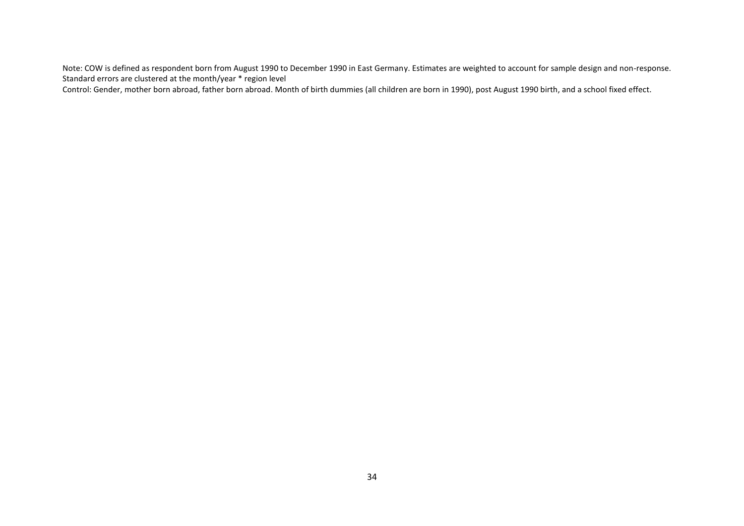Note: COW is defined as respondent born from August 1990 to December 1990 in East Germany. Estimates are weighted to account for sample design and non-response. Standard errors are clustered at the month/year \* region level

Control: Gender, mother born abroad, father born abroad. Month of birth dummies (all children are born in 1990), post August 1990 birth, and a school fixed effect.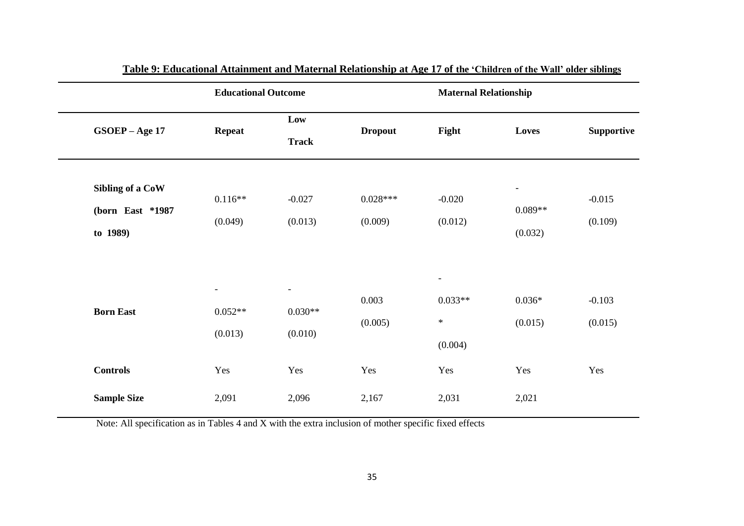| <b>Educational Outcome</b> |                          |                          | <b>Maternal Relationship</b> |           |                          |                   |
|----------------------------|--------------------------|--------------------------|------------------------------|-----------|--------------------------|-------------------|
| GSOEP - Age 17             | <b>Repeat</b>            | Low                      | <b>Dropout</b>               | Fight     | Loves                    | <b>Supportive</b> |
|                            |                          | <b>Track</b>             |                              |           |                          |                   |
| Sibling of a CoW           | $0.116**$                | $-0.027$                 | $0.028***$                   | $-0.020$  | $\overline{\phantom{a}}$ | $-0.015$          |
| (born East *1987           |                          |                          |                              |           | $0.089**$                |                   |
| to 1989)                   | (0.049)                  | (0.013)                  | (0.009)                      | (0.012)   | (0.032)                  | (0.109)           |
|                            |                          |                          |                              |           |                          |                   |
|                            | $\overline{\phantom{a}}$ | $\overline{\phantom{a}}$ | 0.003                        | $0.033**$ | $0.036*$                 | $-0.103$          |
| <b>Born East</b>           | $0.052**$                | $0.030**$                | (0.005)                      | $\ast$    | (0.015)                  | (0.015)           |
|                            | (0.013)                  | (0.010)                  |                              | (0.004)   |                          |                   |
| <b>Controls</b>            | Yes                      | Yes                      | Yes                          | Yes       | Yes                      | Yes               |
| <b>Sample Size</b>         | 2,091                    | 2,096                    | 2,167                        | 2,031     | 2,021                    |                   |

**Table 9: Educational Attainment and Maternal Relationship at Age 17 of the 'Children of the Wall' older siblings**

Note: All specification as in Tables 4 and X with the extra inclusion of mother specific fixed effects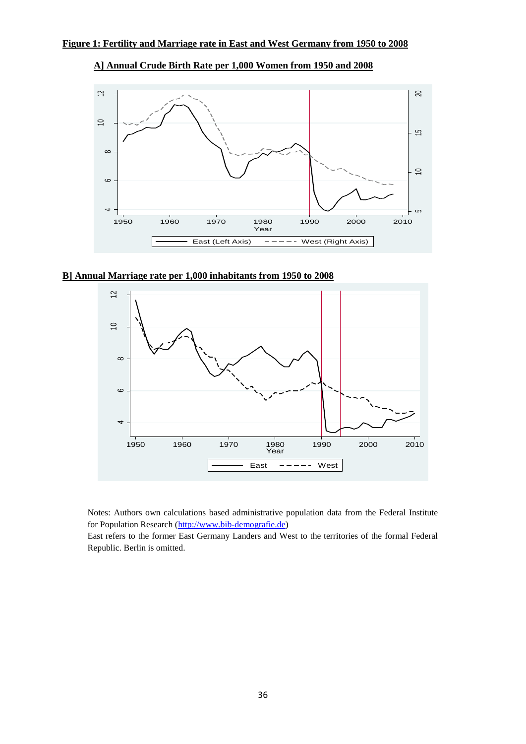

**A] Annual Crude Birth Rate per 1,000 Women from 1950 and 2008**

**B] Annual Marriage rate per 1,000 inhabitants from 1950 to 2008**



Notes: Authors own calculations based administrative population data from the Federal Institute for Population Research [\(http://www.bib-demografie.de\)](http://www.bib-demografie.de/)

East refers to the former East Germany Landers and West to the territories of the formal Federal Republic. Berlin is omitted.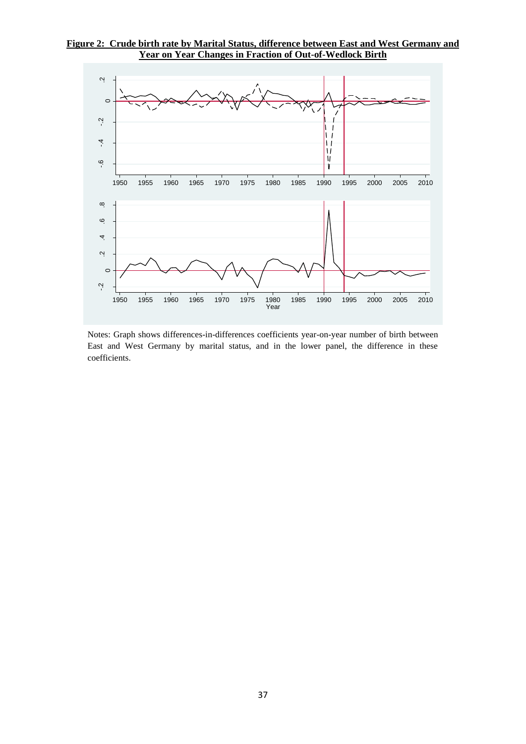## **Figure 2: Crude birth rate by Marital Status, difference between East and West Germany and Year on Year Changes in Fraction of Out-of-Wedlock Birth**



Notes: Graph shows differences-in-differences coefficients year-on-year number of birth between East and West Germany by marital status, and in the lower panel, the difference in these coefficients.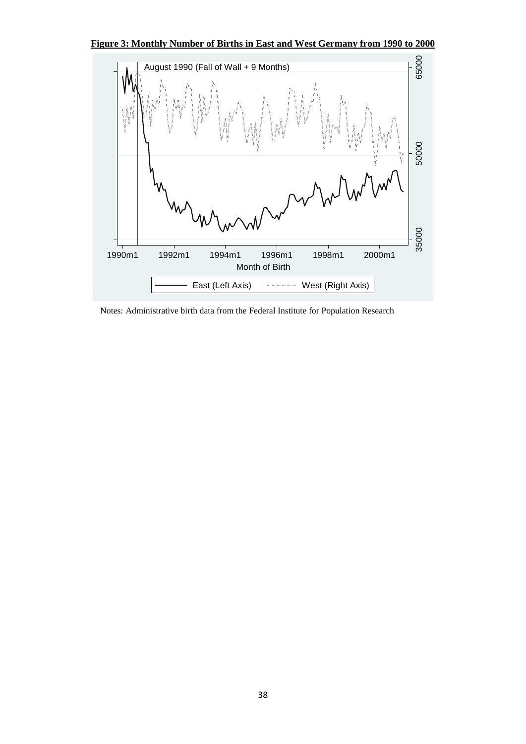**Figure 3: Monthly Number of Births in East and West Germany from 1990 to 2000**



Notes: Administrative birth data from the Federal Institute for Population Research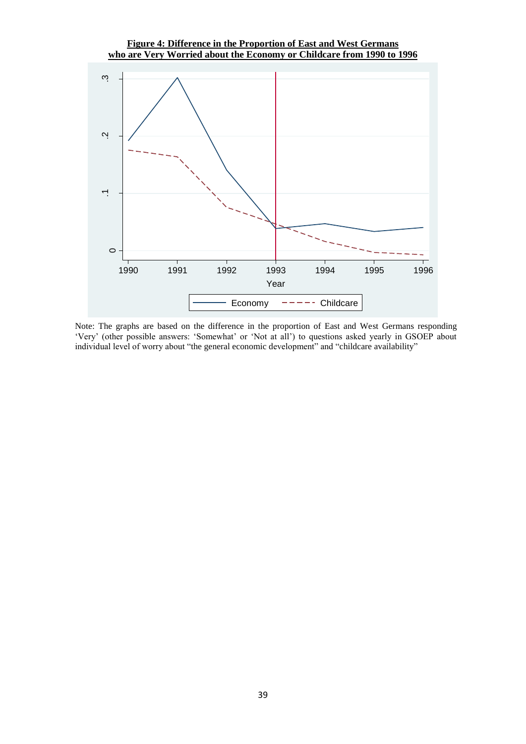## **Figure 4: Difference in the Proportion of East and West Germans who are Very Worried about the Economy or Childcare from 1990 to 1996**



Note: The graphs are based on the difference in the proportion of East and West Germans responding 'Very' (other possible answers: 'Somewhat' or 'Not at all') to questions asked yearly in GSOEP about individual level of worry about "the general economic development" and "childcare availability"